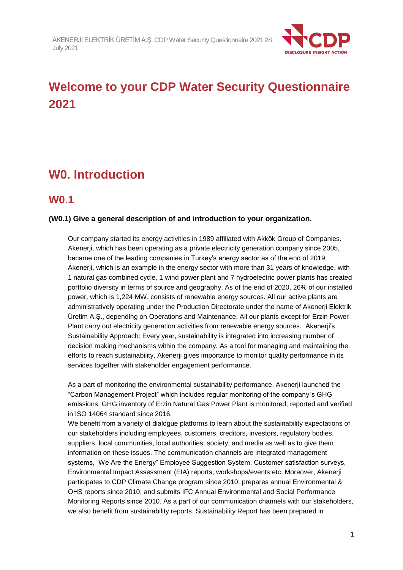

# **Welcome to your CDP Water Security Questionnaire 2021**

# **W0. Introduction**

## **W0.1**

#### **(W0.1) Give a general description of and introduction to your organization.**

Our company started its energy activities in 1989 affiliated with Akkök Group of Companies. Akenerji, which has been operating as a private electricity generation company since 2005, became one of the leading companies in Turkey's energy sector as of the end of 2019. Akenerji, which is an example in the energy sector with more than 31 years of knowledge, with 1 natural gas combined cycle, 1 wind power plant and 7 hydroelectric power plants has created portfolio diversity in terms of source and geography. As of the end of 2020, 26% of our installed power, which is 1,224 MW, consists of renewable energy sources. All our active plants are administratively operating under the Production Directorate under the name of Akenerji Elektrik Üretim A.Ş., depending on Operations and Maintenance. All our plants except for Erzin Power Plant carry out electricity generation activities from renewable energy sources. Akenerji's Sustainability Approach: Every year, sustainability is integrated into increasing number of decision making mechanisms within the company. As a tool for managing and maintaining the efforts to reach sustainability, Akenerji gives importance to monitor quality performance in its services together with stakeholder engagement performance.

As a part of monitoring the environmental sustainability performance, Akenerji launched the "Carbon Management Project" which includes regular monitoring of the company`s GHG emissions. GHG inventory of Erzin Natural Gas Power Plant is monitored, reported and verified in ISO 14064 standard since 2016.

We benefit from a variety of dialogue platforms to learn about the sustainability expectations of our stakeholders including employees, customers, creditors, investors, regulatory bodies, suppliers, local communities, local authorities, society, and media as well as to give them information on these issues. The communication channels are integrated management systems, "We Are the Energy" Employee Suggestion System, Customer satisfaction surveys, Environmental Impact Assessment (EIA) reports, workshops/events etc. Moreover, Akenerji participates to CDP Climate Change program since 2010; prepares annual Environmental & OHS reports since 2010; and submits IFC Annual Environmental and Social Performance Monitoring Reports since 2010. As a part of our communication channels with our stakeholders, we also benefit from sustainability reports. Sustainability Report has been prepared in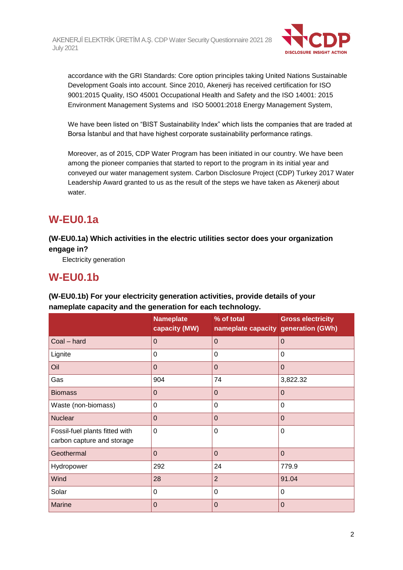

accordance with the GRI Standards: Core option principles taking United Nations Sustainable Development Goals into account. Since 2010, Akenerji has received certification for ISO 9001:2015 Quality, ISO 45001 Occupational Health and Safety and the ISO 14001: 2015 Environment Management Systems and ISO 50001:2018 Energy Management System,

We have been listed on "BIST Sustainability Index" which lists the companies that are traded at Borsa İstanbul and that have highest corporate sustainability performance ratings.

Moreover, as of 2015, CDP Water Program has been initiated in our country. We have been among the pioneer companies that started to report to the program in its initial year and conveyed our water management system. Carbon Disclosure Project (CDP) Turkey 2017 Water Leadership Award granted to us as the result of the steps we have taken as Akenerji about water.

# **W-EU0.1a**

**(W-EU0.1a) Which activities in the electric utilities sector does your organization engage in?**

Electricity generation

# **W-EU0.1b**

| namopiato oapaony ana tho gonoration for caon toomtology.    |                                   |                                                   |                          |
|--------------------------------------------------------------|-----------------------------------|---------------------------------------------------|--------------------------|
|                                                              | <b>Nameplate</b><br>capacity (MW) | % of total<br>nameplate capacity generation (GWh) | <b>Gross electricity</b> |
| Coal - hard                                                  | $\overline{0}$                    | $\mathbf 0$                                       | $\Omega$                 |
| Lignite                                                      | 0                                 | 0                                                 | $\Omega$                 |
| Oil                                                          | $\mathbf 0$                       | $\mathbf 0$                                       | $\overline{0}$           |
| Gas                                                          | 904                               | 74                                                | 3,822.32                 |
| <b>Biomass</b>                                               | $\mathbf 0$                       | $\Omega$                                          | $\overline{0}$           |
| Waste (non-biomass)                                          | 0                                 | 0                                                 | $\Omega$                 |
| <b>Nuclear</b>                                               | $\overline{0}$                    | $\Omega$                                          | $\Omega$                 |
| Fossil-fuel plants fitted with<br>carbon capture and storage | $\mathbf 0$                       | 0                                                 | $\Omega$                 |
| Geothermal                                                   | $\mathbf 0$                       | $\mathbf 0$                                       | $\overline{0}$           |
| Hydropower                                                   | 292                               | 24                                                | 779.9                    |
| Wind                                                         | 28                                | $\overline{2}$                                    | 91.04                    |
| Solar                                                        | 0                                 | $\Omega$                                          | $\Omega$                 |
| <b>Marine</b>                                                | 0                                 | 0                                                 | $\mathbf 0$              |

**(W-EU0.1b) For your electricity generation activities, provide details of your nameplate capacity and the generation for each technology.**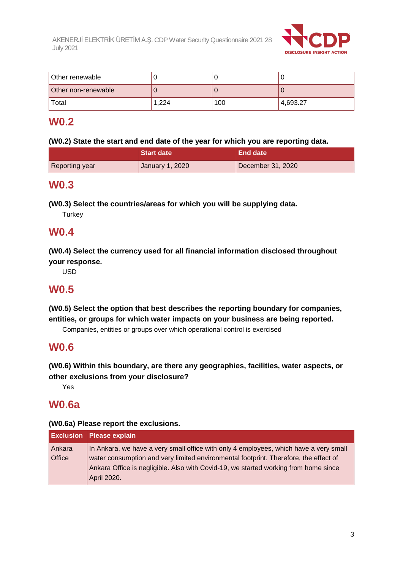

| Other renewable     |       |     |          |
|---------------------|-------|-----|----------|
| Other non-renewable |       |     |          |
| Total               | 1.224 | 100 | 4,693.27 |

# **W0.2**

#### **(W0.2) State the start and end date of the year for which you are reporting data.**

|                       | Start date      | ⊾End date '       |
|-----------------------|-----------------|-------------------|
| <b>Reporting year</b> | January 1, 2020 | December 31, 2020 |

## **W0.3**

**(W0.3) Select the countries/areas for which you will be supplying data.**

**Turkey** 

## **W0.4**

**(W0.4) Select the currency used for all financial information disclosed throughout your response.**

USD

# **W0.5**

**(W0.5) Select the option that best describes the reporting boundary for companies, entities, or groups for which water impacts on your business are being reported.**

Companies, entities or groups over which operational control is exercised

# **W0.6**

**(W0.6) Within this boundary, are there any geographies, facilities, water aspects, or other exclusions from your disclosure?**

Yes

# **W0.6a**

#### **(W0.6a) Please report the exclusions.**

| In Ankara, we have a very small office with only 4 employees, which have a very small |
|---------------------------------------------------------------------------------------|
| water consumption and very limited environmental footprint. Therefore, the effect of  |
| Ankara Office is negligible. Also with Covid-19, we started working from home since   |
|                                                                                       |
|                                                                                       |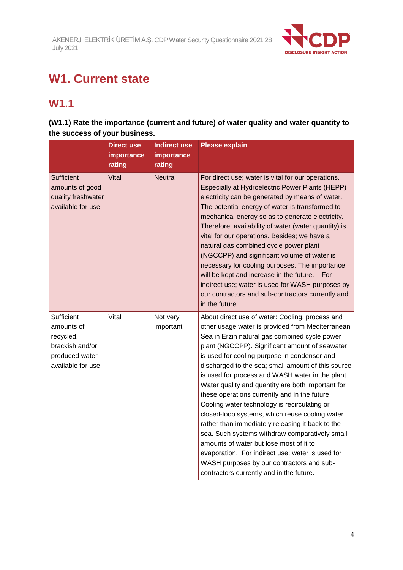

# **W1. Current state**

# **W1.1**

## **(W1.1) Rate the importance (current and future) of water quality and water quantity to the success of your business.**

|                                                                                                 | <b>Direct use</b><br>importance<br>rating | <b>Indirect use</b><br>importance<br>rating | <b>Please explain</b>                                                                                                                                                                                                                                                                                                                                                                                                                                                                                                                                                                                                                                                                                                                                                                                                                                                  |
|-------------------------------------------------------------------------------------------------|-------------------------------------------|---------------------------------------------|------------------------------------------------------------------------------------------------------------------------------------------------------------------------------------------------------------------------------------------------------------------------------------------------------------------------------------------------------------------------------------------------------------------------------------------------------------------------------------------------------------------------------------------------------------------------------------------------------------------------------------------------------------------------------------------------------------------------------------------------------------------------------------------------------------------------------------------------------------------------|
| <b>Sufficient</b><br>amounts of good<br>quality freshwater<br>available for use                 | Vital                                     | <b>Neutral</b>                              | For direct use; water is vital for our operations.<br>Especially at Hydroelectric Power Plants (HEPP)<br>electricity can be generated by means of water.<br>The potential energy of water is transformed to<br>mechanical energy so as to generate electricity.<br>Therefore, availability of water (water quantity) is<br>vital for our operations. Besides; we have a<br>natural gas combined cycle power plant<br>(NGCCPP) and significant volume of water is<br>necessary for cooling purposes. The importance<br>will be kept and increase in the future.<br>For<br>indirect use; water is used for WASH purposes by<br>our contractors and sub-contractors currently and<br>in the future.                                                                                                                                                                       |
| Sufficient<br>amounts of<br>recycled,<br>brackish and/or<br>produced water<br>available for use | Vital                                     | Not very<br>important                       | About direct use of water: Cooling, process and<br>other usage water is provided from Mediterranean<br>Sea in Erzin natural gas combined cycle power<br>plant (NGCCPP). Significant amount of seawater<br>is used for cooling purpose in condenser and<br>discharged to the sea; small amount of this source<br>is used for process and WASH water in the plant.<br>Water quality and quantity are both important for<br>these operations currently and in the future.<br>Cooling water technology is recirculating or<br>closed-loop systems, which reuse cooling water<br>rather than immediately releasing it back to the<br>sea. Such systems withdraw comparatively small<br>amounts of water but lose most of it to<br>evaporation. For indirect use; water is used for<br>WASH purposes by our contractors and sub-<br>contractors currently and in the future. |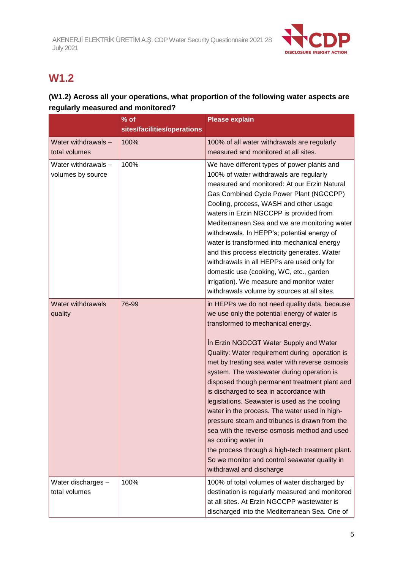

# **W1.2**

## **(W1.2) Across all your operations, what proportion of the following water aspects are regularly measured and monitored?**

|                                          | $%$ of<br>sites/facilities/operations | <b>Please explain</b>                                                                                                                                                                                                                                                                                                                                                                                                                                                                                                                                                                                                                                                                                                                                                                 |
|------------------------------------------|---------------------------------------|---------------------------------------------------------------------------------------------------------------------------------------------------------------------------------------------------------------------------------------------------------------------------------------------------------------------------------------------------------------------------------------------------------------------------------------------------------------------------------------------------------------------------------------------------------------------------------------------------------------------------------------------------------------------------------------------------------------------------------------------------------------------------------------|
| Water withdrawals -<br>total volumes     | 100%                                  | 100% of all water withdrawals are regularly<br>measured and monitored at all sites.                                                                                                                                                                                                                                                                                                                                                                                                                                                                                                                                                                                                                                                                                                   |
| Water withdrawals -<br>volumes by source | 100%                                  | We have different types of power plants and<br>100% of water withdrawals are regularly<br>measured and monitored: At our Erzin Natural<br>Gas Combined Cycle Power Plant (NGCCPP)<br>Cooling, process, WASH and other usage<br>waters in Erzin NGCCPP is provided from<br>Mediterranean Sea and we are monitoring water<br>withdrawals. In HEPP's; potential energy of<br>water is transformed into mechanical energy<br>and this process electricity generates. Water<br>withdrawals in all HEPPs are used only for<br>domestic use (cooking, WC, etc., garden<br>irrigation). We measure and monitor water<br>withdrawals volume by sources at all sites.                                                                                                                           |
| <b>Water withdrawals</b><br>quality      | 76-99                                 | in HEPPs we do not need quality data, because<br>we use only the potential energy of water is<br>transformed to mechanical energy.<br>In Erzin NGCCGT Water Supply and Water<br>Quality: Water requirement during operation is<br>met by treating sea water with reverse osmosis<br>system. The wastewater during operation is<br>disposed though permanent treatment plant and<br>is discharged to sea in accordance with<br>legislations. Seawater is used as the cooling<br>water in the process. The water used in high-<br>pressure steam and tribunes is drawn from the<br>sea with the reverse osmosis method and used<br>as cooling water in<br>the process through a high-tech treatment plant.<br>So we monitor and control seawater quality in<br>withdrawal and discharge |
| Water discharges -<br>total volumes      | 100%                                  | 100% of total volumes of water discharged by<br>destination is regularly measured and monitored<br>at all sites. At Erzin NGCCPP wastewater is<br>discharged into the Mediterranean Sea. One of                                                                                                                                                                                                                                                                                                                                                                                                                                                                                                                                                                                       |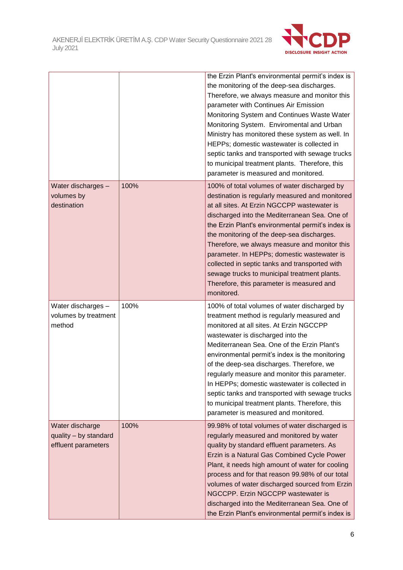

|                                                                 |      | the Erzin Plant's environmental permit's index is<br>the monitoring of the deep-sea discharges.<br>Therefore, we always measure and monitor this<br>parameter with Continues Air Emission<br>Monitoring System and Continues Waste Water<br>Monitoring System. Enviromental and Urban<br>Ministry has monitored these system as well. In<br>HEPPs; domestic wastewater is collected in<br>septic tanks and transported with sewage trucks<br>to municipal treatment plants. Therefore, this<br>parameter is measured and monitored.                                     |
|-----------------------------------------------------------------|------|-------------------------------------------------------------------------------------------------------------------------------------------------------------------------------------------------------------------------------------------------------------------------------------------------------------------------------------------------------------------------------------------------------------------------------------------------------------------------------------------------------------------------------------------------------------------------|
| Water discharges -<br>volumes by<br>destination                 | 100% | 100% of total volumes of water discharged by<br>destination is regularly measured and monitored<br>at all sites. At Erzin NGCCPP wastewater is<br>discharged into the Mediterranean Sea. One of<br>the Erzin Plant's environmental permit's index is<br>the monitoring of the deep-sea discharges.<br>Therefore, we always measure and monitor this<br>parameter. In HEPPs; domestic wastewater is<br>collected in septic tanks and transported with<br>sewage trucks to municipal treatment plants.<br>Therefore, this parameter is measured and<br>monitored.         |
| Water discharges -<br>volumes by treatment<br>method            | 100% | 100% of total volumes of water discharged by<br>treatment method is regularly measured and<br>monitored at all sites. At Erzin NGCCPP<br>wastewater is discharged into the<br>Mediterranean Sea. One of the Erzin Plant's<br>environmental permit's index is the monitoring<br>of the deep-sea discharges. Therefore, we<br>regularly measure and monitor this parameter.<br>In HEPPs; domestic wastewater is collected in<br>septic tanks and transported with sewage trucks<br>to municipal treatment plants. Therefore, this<br>parameter is measured and monitored. |
| Water discharge<br>quality - by standard<br>effluent parameters | 100% | 99.98% of total volumes of water discharged is<br>regularly measured and monitored by water<br>quality by standard effluent parameters. As<br>Erzin is a Natural Gas Combined Cycle Power<br>Plant, it needs high amount of water for cooling<br>process and for that reason 99.98% of our total<br>volumes of water discharged sourced from Erzin<br>NGCCPP. Erzin NGCCPP wastewater is<br>discharged into the Mediterranean Sea. One of<br>the Erzin Plant's environmental permit's index is                                                                          |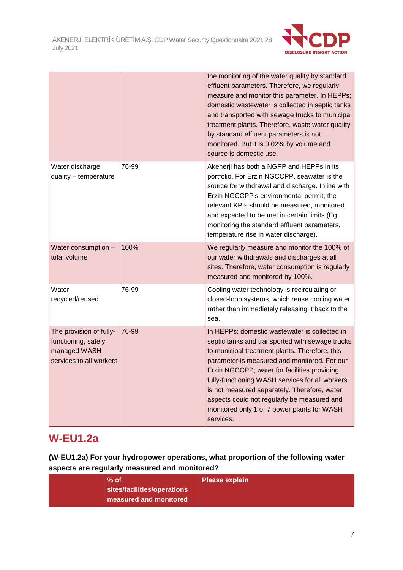

|                                                                                           |       | the monitoring of the water quality by standard<br>effluent parameters. Therefore, we regularly<br>measure and monitor this parameter. In HEPPs;<br>domestic wastewater is collected in septic tanks<br>and transported with sewage trucks to municipal<br>treatment plants. Therefore, waste water quality<br>by standard effluent parameters is not<br>monitored. But it is 0.02% by volume and<br>source is domestic use.                                     |
|-------------------------------------------------------------------------------------------|-------|------------------------------------------------------------------------------------------------------------------------------------------------------------------------------------------------------------------------------------------------------------------------------------------------------------------------------------------------------------------------------------------------------------------------------------------------------------------|
| Water discharge<br>quality - temperature                                                  | 76-99 | Akenerji has both a NGPP and HEPPs in its<br>portfolio. For Erzin NGCCPP, seawater is the<br>source for withdrawal and discharge. Inline with<br>Erzin NGCCPP's environmental permit; the<br>relevant KPIs should be measured, monitored<br>and expected to be met in certain limits (Eg;<br>monitoring the standard effluent parameters,<br>temperature rise in water discharge).                                                                               |
| Water consumption -<br>total volume                                                       | 100%  | We regularly measure and monitor the 100% of<br>our water withdrawals and discharges at all<br>sites. Therefore, water consumption is regularly<br>measured and monitored by 100%.                                                                                                                                                                                                                                                                               |
| Water<br>recycled/reused                                                                  | 76-99 | Cooling water technology is recirculating or<br>closed-loop systems, which reuse cooling water<br>rather than immediately releasing it back to the<br>sea.                                                                                                                                                                                                                                                                                                       |
| The provision of fully-<br>functioning, safely<br>managed WASH<br>services to all workers | 76-99 | In HEPPs; domestic wastewater is collected in<br>septic tanks and transported with sewage trucks<br>to municipal treatment plants. Therefore, this<br>parameter is measured and monitored. For our<br>Erzin NGCCPP; water for facilities providing<br>fully-functioning WASH services for all workers<br>is not measured separately. Therefore, water<br>aspects could not regularly be measured and<br>monitored only 1 of 7 power plants for WASH<br>services. |

# **W-EU1.2a**

**(W-EU1.2a) For your hydropower operations, what proportion of the following water aspects are regularly measured and monitored?**

| $%$ of                      | <b>Please explain</b> |
|-----------------------------|-----------------------|
| sites/facilities/operations |                       |
| measured and monitored      |                       |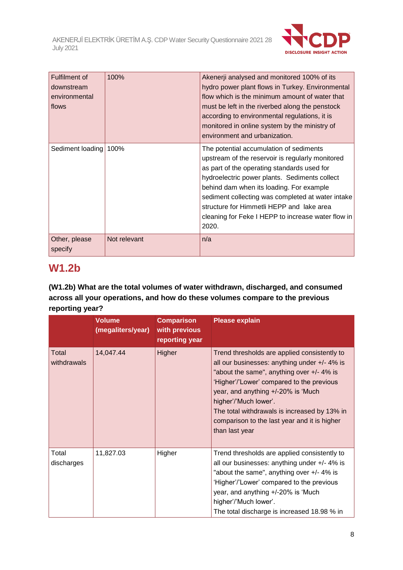

| Fulfilment of<br>downstream<br>environmental<br>flows | 100%         | Akenerji analysed and monitored 100% of its<br>hydro power plant flows in Turkey. Environmental<br>flow which is the minimum amount of water that<br>must be left in the riverbed along the penstock<br>according to environmental regulations, it is<br>monitored in online system by the ministry of<br>environment and urbanization.                                                                  |
|-------------------------------------------------------|--------------|----------------------------------------------------------------------------------------------------------------------------------------------------------------------------------------------------------------------------------------------------------------------------------------------------------------------------------------------------------------------------------------------------------|
| Sediment loading 100%                                 |              | The potential accumulation of sediments<br>upstream of the reservoir is regularly monitored<br>as part of the operating standards used for<br>hydroelectric power plants. Sediments collect<br>behind dam when its loading. For example<br>sediment collecting was completed at water intake<br>structure for Himmetli HEPP and lake area<br>cleaning for Feke I HEPP to increase water flow in<br>2020. |
| Other, please<br>specify                              | Not relevant | n/a                                                                                                                                                                                                                                                                                                                                                                                                      |

# **W1.2b**

## **(W1.2b) What are the total volumes of water withdrawn, discharged, and consumed across all your operations, and how do these volumes compare to the previous reporting year?**

|                      | <b>Volume</b><br>(megaliters/year) | <b>Comparison</b><br>with previous<br>reporting year | <b>Please explain</b>                                                                                                                                                                                                                                                                                                                                                      |
|----------------------|------------------------------------|------------------------------------------------------|----------------------------------------------------------------------------------------------------------------------------------------------------------------------------------------------------------------------------------------------------------------------------------------------------------------------------------------------------------------------------|
| Total<br>withdrawals | 14,047.44                          | Higher                                               | Trend thresholds are applied consistently to<br>all our businesses: anything under $+/- 4\%$ is<br>"about the same", anything over +/- 4% is<br>'Higher'/'Lower' compared to the previous<br>year, and anything +/-20% is 'Much<br>higher'/'Much lower'.<br>The total withdrawals is increased by 13% in<br>comparison to the last year and it is higher<br>than last year |
| Total<br>discharges  | 11,827.03                          | Higher                                               | Trend thresholds are applied consistently to<br>all our businesses: anything under +/- 4% is<br>"about the same", anything over +/- 4% is<br>'Higher'/'Lower' compared to the previous<br>year, and anything +/-20% is 'Much<br>higher'/'Much lower'.<br>The total discharge is increased 18.98 % in                                                                       |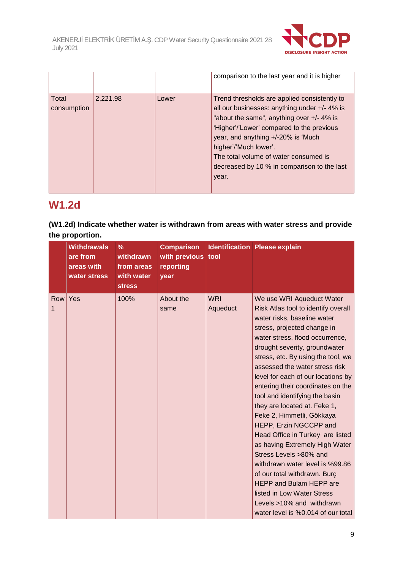

|                      |          |       | comparison to the last year and it is higher                                                                                                                                                                                                                                                                                                              |
|----------------------|----------|-------|-----------------------------------------------------------------------------------------------------------------------------------------------------------------------------------------------------------------------------------------------------------------------------------------------------------------------------------------------------------|
| Total<br>consumption | 2,221.98 | Lower | Trend thresholds are applied consistently to<br>all our businesses: anything under $+/- 4\%$ is<br>"about the same", anything over +/- 4% is<br>'Higher'/'Lower' compared to the previous<br>year, and anything +/-20% is 'Much<br>higher'/'Much lower'.<br>The total volume of water consumed is<br>decreased by 10 % in comparison to the last<br>year. |

# **W1.2d**

### **(W1.2d) Indicate whether water is withdrawn from areas with water stress and provide the proportion.**

|          | <b>Withdrawals</b><br>are from<br>areas with<br>water stress | $\%$<br>withdrawn<br>from areas<br>with water<br><b>stress</b> | <b>Comparison</b><br>with previous tool<br>reporting<br>year |                        | <b>Identification Please explain</b>                                                                                                                                                                                                                                                                                                                                                                                                                                                                                                                                                                                                                                                                                                                                                 |
|----------|--------------------------------------------------------------|----------------------------------------------------------------|--------------------------------------------------------------|------------------------|--------------------------------------------------------------------------------------------------------------------------------------------------------------------------------------------------------------------------------------------------------------------------------------------------------------------------------------------------------------------------------------------------------------------------------------------------------------------------------------------------------------------------------------------------------------------------------------------------------------------------------------------------------------------------------------------------------------------------------------------------------------------------------------|
| Row<br>1 | Yes                                                          | 100%                                                           | About the<br>same                                            | <b>WRI</b><br>Aqueduct | We use WRI Aqueduct Water<br>Risk Atlas tool to identify overall<br>water risks, baseline water<br>stress, projected change in<br>water stress, flood occurrence,<br>drought severity, groundwater<br>stress, etc. By using the tool, we<br>assessed the water stress risk<br>level for each of our locations by<br>entering their coordinates on the<br>tool and identifying the basin<br>they are located at. Feke 1,<br>Feke 2, Himmetli, Gökkaya<br>HEPP, Erzin NGCCPP and<br>Head Office in Turkey are listed<br>as having Extremely High Water<br>Stress Levels >80% and<br>withdrawn water level is %99.86<br>of our total withdrawn. Burc<br><b>HEPP and Bulam HEPP are</b><br>listed in Low Water Stress<br>Levels >10% and withdrawn<br>water level is %0.014 of our total |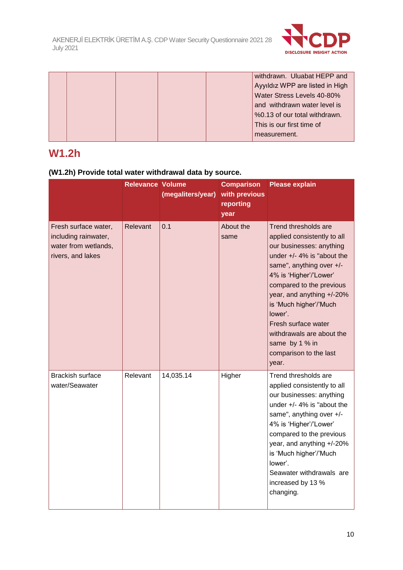

|  |  | withdrawn. Uluabat HEPP and     |
|--|--|---------------------------------|
|  |  | Ayyıldız WPP are listed in High |
|  |  | Water Stress Levels 40-80%      |
|  |  | and withdrawn water level is    |
|  |  | %0.13 of our total withdrawn.   |
|  |  | This is our first time of       |
|  |  | measurement.                    |

# **W1.2h**

## **(W1.2h) Provide total water withdrawal data by source.**

|                                                                                           | <b>Relevance Volume</b> | (megaliters/year) | <b>Comparison</b><br>with previous<br>reporting<br>year | <b>Please explain</b>                                                                                                                                                                                                                                                                                                                                                         |
|-------------------------------------------------------------------------------------------|-------------------------|-------------------|---------------------------------------------------------|-------------------------------------------------------------------------------------------------------------------------------------------------------------------------------------------------------------------------------------------------------------------------------------------------------------------------------------------------------------------------------|
| Fresh surface water,<br>including rainwater,<br>water from wetlands,<br>rivers, and lakes | Relevant                | 0.1               | About the<br>same                                       | Trend thresholds are<br>applied consistently to all<br>our businesses: anything<br>under $+/- 4\%$ is "about the<br>same", anything over +/-<br>4% is 'Higher'/'Lower'<br>compared to the previous<br>year, and anything +/-20%<br>is 'Much higher'/'Much<br>lower'.<br>Fresh surface water<br>withdrawals are about the<br>same by 1 % in<br>comparison to the last<br>year. |
| <b>Brackish surface</b><br>water/Seawater                                                 | Relevant                | 14,035.14         | Higher                                                  | Trend thresholds are<br>applied consistently to all<br>our businesses: anything<br>under $+/- 4\%$ is "about the<br>same", anything over +/-<br>4% is 'Higher'/'Lower'<br>compared to the previous<br>year, and anything +/-20%<br>is 'Much higher'/'Much<br>lower'.<br>Seawater withdrawals are<br>increased by 13 %<br>changing.                                            |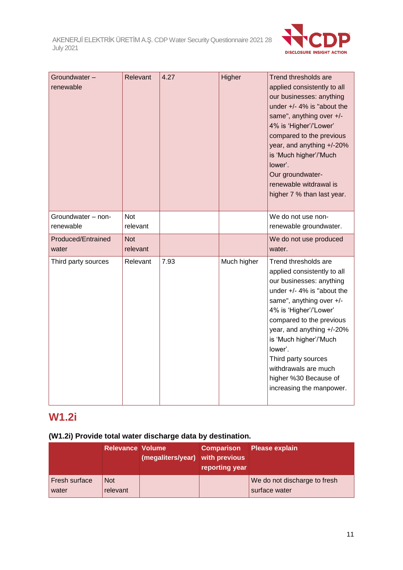

| Groundwater -<br>renewable      | Relevant               | 4.27 | Higher      | Trend thresholds are<br>applied consistently to all<br>our businesses: anything<br>under $+/- 4\%$ is "about the<br>same", anything over +/-<br>4% is 'Higher'/'Lower'<br>compared to the previous<br>year, and anything +/-20%<br>is 'Much higher'/'Much<br>lower'.<br>Our groundwater-<br>renewable witdrawal is<br>higher 7 % than last year.                         |
|---------------------------------|------------------------|------|-------------|--------------------------------------------------------------------------------------------------------------------------------------------------------------------------------------------------------------------------------------------------------------------------------------------------------------------------------------------------------------------------|
| Groundwater - non-<br>renewable | <b>Not</b><br>relevant |      |             | We do not use non-<br>renewable groundwater.                                                                                                                                                                                                                                                                                                                             |
| Produced/Entrained<br>water     | <b>Not</b><br>relevant |      |             | We do not use produced<br>water.                                                                                                                                                                                                                                                                                                                                         |
| Third party sources             | Relevant               | 7.93 | Much higher | Trend thresholds are<br>applied consistently to all<br>our businesses: anything<br>under $+/- 4\%$ is "about the<br>same", anything over +/-<br>4% is 'Higher'/'Lower'<br>compared to the previous<br>year, and anything +/-20%<br>is 'Much higher'/'Much<br>lower'.<br>Third party sources<br>withdrawals are much<br>higher %30 Because of<br>increasing the manpower. |

# **W1.2i**

## **(W1.2i) Provide total water discharge data by destination.**

|                               | <b>Relevance Volume</b> | (megaliters/year) with previous | <b>Comparison</b><br>reporting year | <b>Please explain</b>                         |
|-------------------------------|-------------------------|---------------------------------|-------------------------------------|-----------------------------------------------|
| <b>Fresh surface</b><br>water | <b>Not</b><br>relevant  |                                 |                                     | We do not discharge to fresh<br>surface water |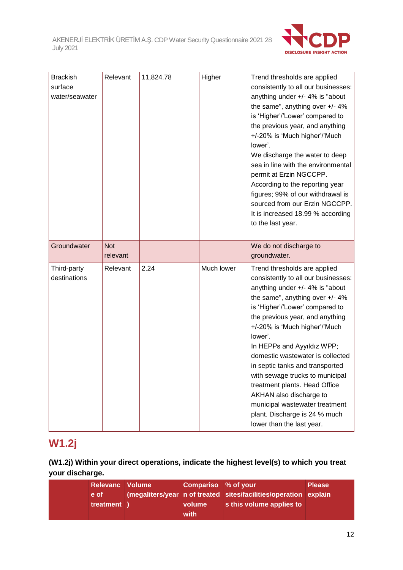

| <b>Brackish</b><br>surface<br>water/seawater | Relevant               | 11,824.78 | Higher     | Trend thresholds are applied<br>consistently to all our businesses:<br>anything under +/- 4% is "about<br>the same", anything over +/- 4%<br>is 'Higher'/'Lower' compared to<br>the previous year, and anything<br>+/-20% is 'Much higher'/'Much<br>lower'.<br>We discharge the water to deep<br>sea in line with the environmental<br>permit at Erzin NGCCPP.<br>According to the reporting year<br>figures; 99% of our withdrawal is<br>sourced from our Erzin NGCCPP.<br>It is increased 18.99 % according<br>to the last year.                              |
|----------------------------------------------|------------------------|-----------|------------|-----------------------------------------------------------------------------------------------------------------------------------------------------------------------------------------------------------------------------------------------------------------------------------------------------------------------------------------------------------------------------------------------------------------------------------------------------------------------------------------------------------------------------------------------------------------|
| Groundwater                                  | <b>Not</b><br>relevant |           |            | We do not discharge to<br>groundwater.                                                                                                                                                                                                                                                                                                                                                                                                                                                                                                                          |
| Third-party<br>destinations                  | Relevant               | 2.24      | Much lower | Trend thresholds are applied<br>consistently to all our businesses:<br>anything under +/- 4% is "about<br>the same", anything over +/- 4%<br>is 'Higher'/'Lower' compared to<br>the previous year, and anything<br>+/-20% is 'Much higher'/'Much<br>lower'.<br>In HEPPs and Ayyıldız WPP;<br>domestic wastewater is collected<br>in septic tanks and transported<br>with sewage trucks to municipal<br>treatment plants. Head Office<br>AKHAN also discharge to<br>municipal wastewater treatment<br>plant. Discharge is 24 % much<br>lower than the last year. |

# **W1.2j**

## **(W1.2j) Within your direct operations, indicate the highest level(s) to which you treat your discharge.**

| Relevanc Volume    | Compariso % of your |                                                                                              | <b>Please</b> |
|--------------------|---------------------|----------------------------------------------------------------------------------------------|---------------|
| e of<br>treatment) | volume              | (megaliters/year n of treated sites/facilities/operation explain<br>s this volume applies to |               |
|                    | with                |                                                                                              |               |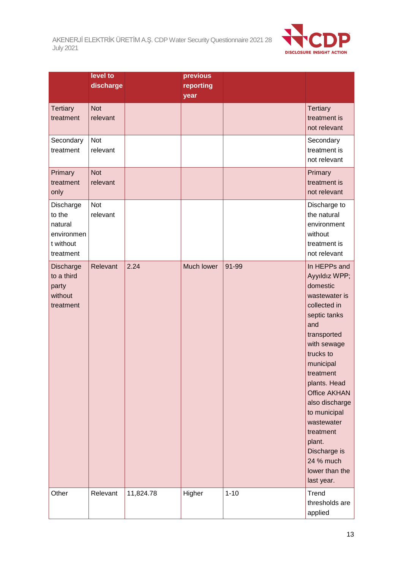

|                                                                        | level to<br>discharge  |           | previous<br>reporting<br>year |          |                                                                                                                                                                                                                                                                                                                                                   |
|------------------------------------------------------------------------|------------------------|-----------|-------------------------------|----------|---------------------------------------------------------------------------------------------------------------------------------------------------------------------------------------------------------------------------------------------------------------------------------------------------------------------------------------------------|
| <b>Tertiary</b><br>treatment                                           | <b>Not</b><br>relevant |           |                               |          | <b>Tertiary</b><br>treatment is<br>not relevant                                                                                                                                                                                                                                                                                                   |
| Secondary<br>treatment                                                 | Not<br>relevant        |           |                               |          | Secondary<br>treatment is<br>not relevant                                                                                                                                                                                                                                                                                                         |
| Primary<br>treatment<br>only                                           | <b>Not</b><br>relevant |           |                               |          | Primary<br>treatment is<br>not relevant                                                                                                                                                                                                                                                                                                           |
| Discharge<br>to the<br>natural<br>environmen<br>t without<br>treatment | <b>Not</b><br>relevant |           |                               |          | Discharge to<br>the natural<br>environment<br>without<br>treatment is<br>not relevant                                                                                                                                                                                                                                                             |
| Discharge<br>to a third<br>party<br>without<br>treatment               | Relevant               | 2.24      | Much lower                    | 91-99    | In HEPPs and<br>Ayyıldız WPP;<br>domestic<br>wastewater is<br>collected in<br>septic tanks<br>and<br>transported<br>with sewage<br>trucks to<br>municipal<br>treatment<br>plants. Head<br><b>Office AKHAN</b><br>also discharge<br>to municipal<br>wastewater<br>treatment<br>plant.<br>Discharge is<br>24 % much<br>lower than the<br>last year. |
| Other                                                                  | Relevant               | 11,824.78 | Higher                        | $1 - 10$ | Trend<br>thresholds are<br>applied                                                                                                                                                                                                                                                                                                                |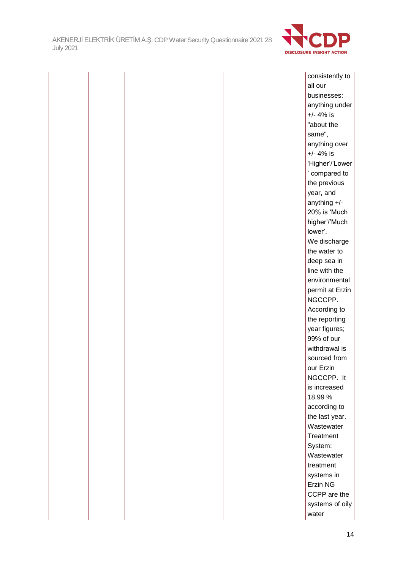

|  |  | consistently to |
|--|--|-----------------|
|  |  | all our         |
|  |  | businesses:     |
|  |  | anything under  |
|  |  | $+/- 4%$ is     |
|  |  | "about the      |
|  |  | same",          |
|  |  | anything over   |
|  |  | $+/- 4%$ is     |
|  |  | 'Higher'/'Lower |
|  |  | ' compared to   |
|  |  | the previous    |
|  |  | year, and       |
|  |  | anything +/-    |
|  |  | 20% is 'Much    |
|  |  | higher'/'Much   |
|  |  | lower'.         |
|  |  | We discharge    |
|  |  | the water to    |
|  |  | deep sea in     |
|  |  | line with the   |
|  |  | environmental   |
|  |  | permit at Erzin |
|  |  | NGCCPP.         |
|  |  | According to    |
|  |  | the reporting   |
|  |  | year figures;   |
|  |  | 99% of our      |
|  |  | withdrawal is   |
|  |  | sourced from    |
|  |  | our Erzin       |
|  |  | NGCCPP. It      |
|  |  | is increased    |
|  |  | 18.99 %         |
|  |  | according to    |
|  |  | the last year.  |
|  |  | Wastewater      |
|  |  | Treatment       |
|  |  | System:         |
|  |  | Wastewater      |
|  |  | treatment       |
|  |  | systems in      |
|  |  | Erzin NG        |
|  |  | CCPP are the    |
|  |  | systems of oily |
|  |  | water           |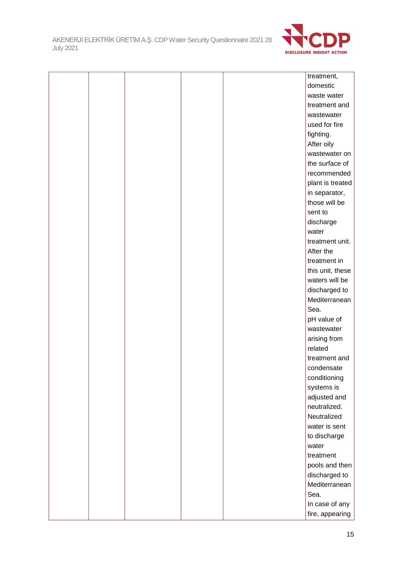

|  |  |  | treatment,       |
|--|--|--|------------------|
|  |  |  | domestic         |
|  |  |  | waste water      |
|  |  |  | treatment and    |
|  |  |  | wastewater       |
|  |  |  | used for fire    |
|  |  |  | fighting.        |
|  |  |  | After oily       |
|  |  |  | wastewater on    |
|  |  |  | the surface of   |
|  |  |  | recommended      |
|  |  |  | plant is treated |
|  |  |  | in separator,    |
|  |  |  | those will be    |
|  |  |  | sent to          |
|  |  |  | discharge        |
|  |  |  | water            |
|  |  |  | treatment unit.  |
|  |  |  | After the        |
|  |  |  | treatment in     |
|  |  |  | this unit, these |
|  |  |  | waters will be   |
|  |  |  | discharged to    |
|  |  |  | Mediterranean    |
|  |  |  | Sea.             |
|  |  |  | pH value of      |
|  |  |  | wastewater       |
|  |  |  | arising from     |
|  |  |  | related          |
|  |  |  | treatment and    |
|  |  |  | condensate       |
|  |  |  | conditioning     |
|  |  |  | systems is       |
|  |  |  | adjusted and     |
|  |  |  | neutralized.     |
|  |  |  | Neutralized      |
|  |  |  | water is sent    |
|  |  |  | to discharge     |
|  |  |  | water            |
|  |  |  | treatment        |
|  |  |  | pools and then   |
|  |  |  | discharged to    |
|  |  |  | Mediterranean    |
|  |  |  | Sea.             |
|  |  |  | In case of any   |
|  |  |  | fire, appearing  |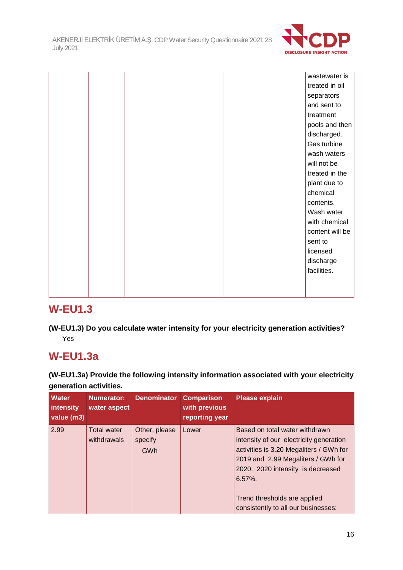

|  |  |  | wastewater is   |
|--|--|--|-----------------|
|  |  |  | treated in oil  |
|  |  |  | separators      |
|  |  |  | and sent to     |
|  |  |  | treatment       |
|  |  |  | pools and then  |
|  |  |  | discharged.     |
|  |  |  | Gas turbine     |
|  |  |  | wash waters     |
|  |  |  | will not be     |
|  |  |  | treated in the  |
|  |  |  | plant due to    |
|  |  |  | chemical        |
|  |  |  | contents.       |
|  |  |  | Wash water      |
|  |  |  | with chemical   |
|  |  |  | content will be |
|  |  |  | sent to         |
|  |  |  | licensed        |
|  |  |  | discharge       |
|  |  |  | facilities.     |
|  |  |  |                 |
|  |  |  |                 |
|  |  |  |                 |

# **W-EU1.3**

**(W-EU1.3) Do you calculate water intensity for your electricity generation activities?** Yes

# **W-EU1.3a**

**(W-EU1.3a) Provide the following intensity information associated with your electricity generation activities.**

| <b>Water</b><br>intensity<br>value (m3) | Numerator:<br>water aspect        | <b>Denominator</b>              | <b>Comparison</b><br>with previous<br>reporting year | <b>Please explain</b>                                                                                                                                                                                                                                                                |
|-----------------------------------------|-----------------------------------|---------------------------------|------------------------------------------------------|--------------------------------------------------------------------------------------------------------------------------------------------------------------------------------------------------------------------------------------------------------------------------------------|
| 2.99                                    | <b>Total water</b><br>withdrawals | Other, please<br>specify<br>GWh | Lower                                                | Based on total water withdrawn<br>intensity of our electricity generation<br>activities is 3.20 Megaliters / GWh for<br>2019 and 2.99 Megaliters / GWh for<br>2020. 2020 intensity is decreased<br>$6.57\%$ .<br>Trend thresholds are applied<br>consistently to all our businesses: |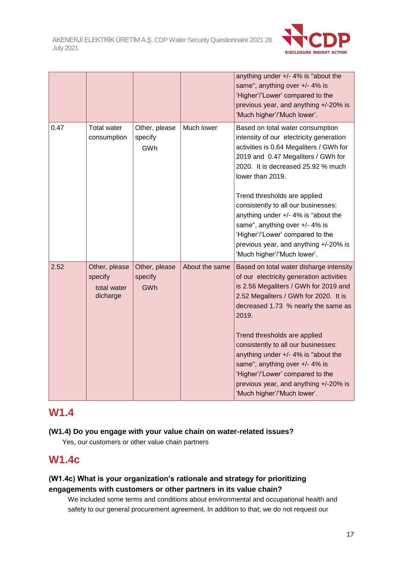

|      |                                                     |                                 |                | anything under $+/- 4\%$ is "about the<br>same", anything over +/- 4% is<br>'Higher'/'Lower' compared to the<br>previous year, and anything +/-20% is<br>'Much higher'/'Much lower'.                                                                                                                                                                                                                      |
|------|-----------------------------------------------------|---------------------------------|----------------|-----------------------------------------------------------------------------------------------------------------------------------------------------------------------------------------------------------------------------------------------------------------------------------------------------------------------------------------------------------------------------------------------------------|
| 0.47 | <b>Total water</b><br>consumption                   | Other, please<br>specify<br>GWh | Much lower     | Based on total water consumption<br>intensity of our electricity generation<br>activities is 0.64 Megaliters / GWh for<br>2019 and 0.47 Megaliters / GWh for<br>2020. It is decreased 25.92 % much<br>lower than 2019.                                                                                                                                                                                    |
|      |                                                     |                                 |                | Trend thresholds are applied<br>consistently to all our businesses:<br>anything under $+/- 4\%$ is "about the<br>same", anything over +/- 4% is<br>'Higher'/'Lower' compared to the<br>previous year, and anything +/-20% is<br>'Much higher'/'Much lower'.                                                                                                                                               |
| 2.52 | Other, please<br>specify<br>total water<br>dicharge | Other, please<br>specify<br>GWh | About the same | Based on total water disharge intensity<br>of our electricity generation activities<br>is 2.56 Megaliters / GWh for 2019 and<br>2.52 Megaliters / GWh for 2020. It is<br>decreased 1.73 % nearly the same as<br>2019.<br>Trend thresholds are applied<br>consistently to all our businesses:<br>anything under +/- 4% is "about the<br>same", anything over +/- 4% is<br>'Higher'/'Lower' compared to the |
|      |                                                     |                                 |                | previous year, and anything +/-20% is<br>'Much higher'/'Much lower'.                                                                                                                                                                                                                                                                                                                                      |

## **W1.4**

### **(W1.4) Do you engage with your value chain on water-related issues?**

Yes, our customers or other value chain partners

# **W1.4c**

## **(W1.4c) What is your organization's rationale and strategy for prioritizing engagements with customers or other partners in its value chain?**

We included some terms and conditions about environmental and occupational health and safety to our general procurement agreement. In addition to that; we do not request our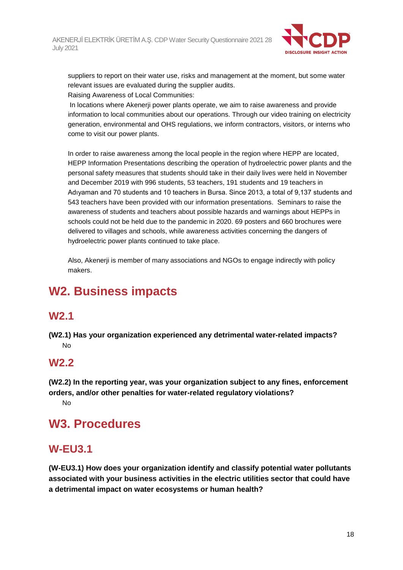

suppliers to report on their water use, risks and management at the moment, but some water relevant issues are evaluated during the supplier audits.

Raising Awareness of Local Communities:

In locations where Akenerji power plants operate, we aim to raise awareness and provide information to local communities about our operations. Through our video training on electricity generation, environmental and OHS regulations, we inform contractors, visitors, or interns who come to visit our power plants.

In order to raise awareness among the local people in the region where HEPP are located, HEPP Information Presentations describing the operation of hydroelectric power plants and the personal safety measures that students should take in their daily lives were held in November and December 2019 with 996 students, 53 teachers, 191 students and 19 teachers in Adıyaman and 70 students and 10 teachers in Bursa. Since 2013, a total of 9,137 students and 543 teachers have been provided with our information presentations. Seminars to raise the awareness of students and teachers about possible hazards and warnings about HEPPs in schools could not be held due to the pandemic in 2020. 69 posters and 660 brochures were delivered to villages and schools, while awareness activities concerning the dangers of hydroelectric power plants continued to take place.

Also, Akenerji is member of many associations and NGOs to engage indirectly with policy makers.

# **W2. Business impacts**

# **W2.1**

**(W2.1) Has your organization experienced any detrimental water-related impacts?**  $N<sub>0</sub>$ 

# **W2.2**

**(W2.2) In the reporting year, was your organization subject to any fines, enforcement orders, and/or other penalties for water-related regulatory violations?** No

# **W3. Procedures**

# **W-EU3.1**

**(W-EU3.1) How does your organization identify and classify potential water pollutants associated with your business activities in the electric utilities sector that could have a detrimental impact on water ecosystems or human health?**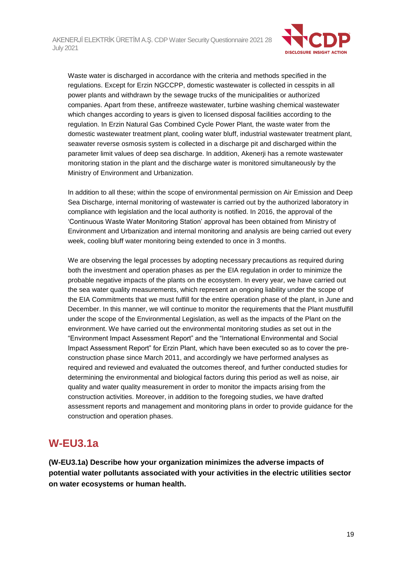

Waste water is discharged in accordance with the criteria and methods specified in the regulations. Except for Erzin NGCCPP, domestic wastewater is collected in cesspits in all power plants and withdrawn by the sewage trucks of the municipalities or authorized companies. Apart from these, antifreeze wastewater, turbine washing chemical wastewater which changes according to years is given to licensed disposal facilities according to the regulation. In Erzin Natural Gas Combined Cycle Power Plant, the waste water from the domestic wastewater treatment plant, cooling water bluff, industrial wastewater treatment plant, seawater reverse osmosis system is collected in a discharge pit and discharged within the parameter limit values of deep sea discharge. In addition, Akenerji has a remote wastewater monitoring station in the plant and the discharge water is monitored simultaneously by the Ministry of Environment and Urbanization.

In addition to all these; within the scope of environmental permission on Air Emission and Deep Sea Discharge, internal monitoring of wastewater is carried out by the authorized laboratory in compliance with legislation and the local authority is notified. In 2016, the approval of the 'Continuous Waste Water Monitoring Station' approval has been obtained from Ministry of Environment and Urbanization and internal monitoring and analysis are being carried out every week, cooling bluff water monitoring being extended to once in 3 months.

We are observing the legal processes by adopting necessary precautions as required during both the investment and operation phases as per the EIA regulation in order to minimize the probable negative impacts of the plants on the ecosystem. In every year, we have carried out the sea water quality measurements, which represent an ongoing liability under the scope of the EIA Commitments that we must fulfill for the entire operation phase of the plant, in June and December. In this manner, we will continue to monitor the requirements that the Plant mustfulfill under the scope of the Environmental Legislation, as well as the impacts of the Plant on the environment. We have carried out the environmental monitoring studies as set out in the "Environment Impact Assessment Report" and the "International Environmental and Social Impact Assessment Report" for Erzin Plant, which have been executed so as to cover the preconstruction phase since March 2011, and accordingly we have performed analyses as required and reviewed and evaluated the outcomes thereof, and further conducted studies for determining the environmental and biological factors during this period as well as noise, air quality and water quality measurement in order to monitor the impacts arising from the construction activities. Moreover, in addition to the foregoing studies, we have drafted assessment reports and management and monitoring plans in order to provide guidance for the construction and operation phases.

# **W-EU3.1a**

**(W-EU3.1a) Describe how your organization minimizes the adverse impacts of potential water pollutants associated with your activities in the electric utilities sector on water ecosystems or human health.**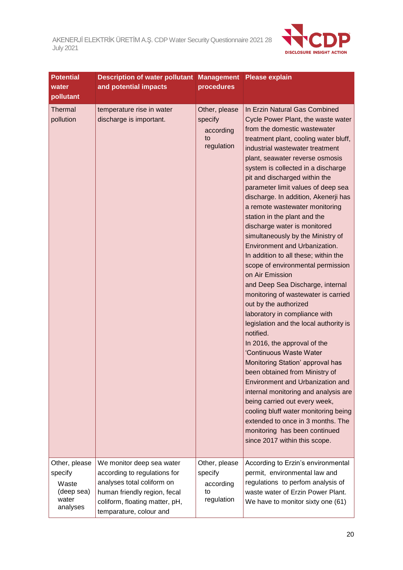

| <b>Potential</b><br>water<br>pollutant                               | <b>Description of water pollutant</b><br>and potential impacts                                                                                                                       | procedures                                                | <b>Management Please explain</b>                                                                                                                                                                                                                                                                                                                                                                                                                                                                                                                                                                                                                                                                                                                                                                                                                                                                                                                                                                                                                                                                                                                                                                                                         |
|----------------------------------------------------------------------|--------------------------------------------------------------------------------------------------------------------------------------------------------------------------------------|-----------------------------------------------------------|------------------------------------------------------------------------------------------------------------------------------------------------------------------------------------------------------------------------------------------------------------------------------------------------------------------------------------------------------------------------------------------------------------------------------------------------------------------------------------------------------------------------------------------------------------------------------------------------------------------------------------------------------------------------------------------------------------------------------------------------------------------------------------------------------------------------------------------------------------------------------------------------------------------------------------------------------------------------------------------------------------------------------------------------------------------------------------------------------------------------------------------------------------------------------------------------------------------------------------------|
| Thermal<br>pollution                                                 | temperature rise in water<br>discharge is important.                                                                                                                                 | Other, please<br>specify<br>according<br>to<br>regulation | In Erzin Natural Gas Combined<br>Cycle Power Plant, the waste water<br>from the domestic wastewater<br>treatment plant, cooling water bluff,<br>industrial wastewater treatment<br>plant, seawater reverse osmosis<br>system is collected in a discharge<br>pit and discharged within the<br>parameter limit values of deep sea<br>discharge. In addition, Akenerji has<br>a remote wastewater monitoring<br>station in the plant and the<br>discharge water is monitored<br>simultaneously by the Ministry of<br>Environment and Urbanization.<br>In addition to all these; within the<br>scope of environmental permission<br>on Air Emission<br>and Deep Sea Discharge, internal<br>monitoring of wastewater is carried<br>out by the authorized<br>laboratory in compliance with<br>legislation and the local authority is<br>notified.<br>In 2016, the approval of the<br>'Continuous Waste Water<br>Monitoring Station' approval has<br>been obtained from Ministry of<br>Environment and Urbanization and<br>internal monitoring and analysis are<br>being carried out every week,<br>cooling bluff water monitoring being<br>extended to once in 3 months. The<br>monitoring has been continued<br>since 2017 within this scope. |
| Other, please<br>specify<br>Waste<br>(deep sea)<br>water<br>analyses | We monitor deep sea water<br>according to regulations for<br>analyses total coliform on<br>human friendly region, fecal<br>coliform, floating matter, pH,<br>temparature, colour and | Other, please<br>specify<br>according<br>to<br>regulation | According to Erzin's environmental<br>permit, environmental law and<br>regulations to perfom analysis of<br>waste water of Erzin Power Plant.<br>We have to monitor sixty one (61)                                                                                                                                                                                                                                                                                                                                                                                                                                                                                                                                                                                                                                                                                                                                                                                                                                                                                                                                                                                                                                                       |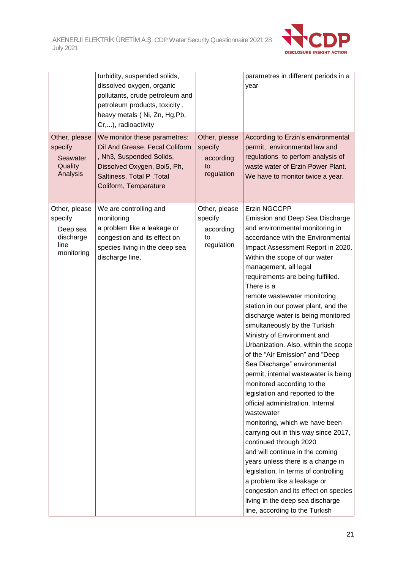

|                                                                         | turbidity, suspended solids,<br>dissolved oxygen, organic<br>pollutants, crude petroleum and<br>petroleum products, toxicity,<br>heavy metals (Ni, Zn, Hg, Pb,<br>Cr,), radioactivity |                                                           | parametres in different periods in a<br>year                                                                                                                                                                                                                                                                                                                                                                                                                                                                                                                                                                                                                                                                                                                                                                                                                                                                                                                                                                                                                                                   |
|-------------------------------------------------------------------------|---------------------------------------------------------------------------------------------------------------------------------------------------------------------------------------|-----------------------------------------------------------|------------------------------------------------------------------------------------------------------------------------------------------------------------------------------------------------------------------------------------------------------------------------------------------------------------------------------------------------------------------------------------------------------------------------------------------------------------------------------------------------------------------------------------------------------------------------------------------------------------------------------------------------------------------------------------------------------------------------------------------------------------------------------------------------------------------------------------------------------------------------------------------------------------------------------------------------------------------------------------------------------------------------------------------------------------------------------------------------|
| Other, please<br>specify<br>Seawater<br>Quality<br>Analysis             | We monitor these parametres:<br>Oil And Grease, Fecal Coliform<br>, Nh3, Suspended Solids,<br>Dissolved Oxygen, Boi5, Ph,<br>Saltiness, Total P, Total<br>Coliform, Temparature       | Other, please<br>specify<br>according<br>to<br>regulation | According to Erzin's environmental<br>permit, environmental law and<br>regulations to perfom analysis of<br>waste water of Erzin Power Plant.<br>We have to monitor twice a year.                                                                                                                                                                                                                                                                                                                                                                                                                                                                                                                                                                                                                                                                                                                                                                                                                                                                                                              |
| Other, please<br>specify<br>Deep sea<br>discharge<br>line<br>monitoring | We are controlling and<br>monitoring<br>a problem like a leakage or<br>congestion and its effect on<br>species living in the deep sea<br>discharge line,                              | Other, please<br>specify<br>according<br>to<br>regulation | Erzin NGCCPP<br>Emission and Deep Sea Discharge<br>and environmental monitoring in<br>accordance with the Environmental<br>Impact Assessment Report in 2020.<br>Within the scope of our water<br>management, all legal<br>requirements are being fulfilled.<br>There is a<br>remote wastewater monitoring<br>station in our power plant, and the<br>discharge water is being monitored<br>simultaneously by the Turkish<br>Ministry of Environment and<br>Urbanization. Also, within the scope<br>of the "Air Emission" and "Deep<br>Sea Discharge" environmental<br>permit, internal wastewater is being<br>monitored according to the<br>legislation and reported to the<br>official administration. Internal<br>wastewater<br>monitoring, which we have been<br>carrying out in this way since 2017,<br>continued through 2020<br>and will continue in the coming<br>years unless there is a change in<br>legislation. In terms of controlling<br>a problem like a leakage or<br>congestion and its effect on species<br>living in the deep sea discharge<br>line, according to the Turkish |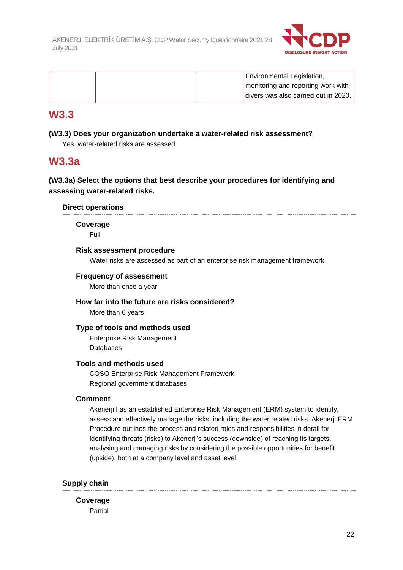

|  |  | Environmental Legislation,             |
|--|--|----------------------------------------|
|  |  | monitoring and reporting work with     |
|  |  | I divers was also carried out in 2020. |

## **W3.3**

#### **(W3.3) Does your organization undertake a water-related risk assessment?**

Yes, water-related risks are assessed

## **W3.3a**

### **(W3.3a) Select the options that best describe your procedures for identifying and assessing water-related risks.**

#### **Direct operations**

**Coverage**

Full

#### **Risk assessment procedure**

Water risks are assessed as part of an enterprise risk management framework

#### **Frequency of assessment**

More than once a year

#### **How far into the future are risks considered?**

More than 6 years

#### **Type of tools and methods used**

Enterprise Risk Management Databases

#### **Tools and methods used**

COSO Enterprise Risk Management Framework Regional government databases

#### **Comment**

Akenerji has an established Enterprise Risk Management (ERM) system to identify, assess and effectively manage the risks, including the water related risks. Akenerji ERM Procedure outlines the process and related roles and responsibilities in detail for identifying threats (risks) to Akenerji's success (downside) of reaching its targets, analysing and managing risks by considering the possible opportunities for benefit (upside), both at a company level and asset level.

#### **Supply chain**

**Coverage** Partial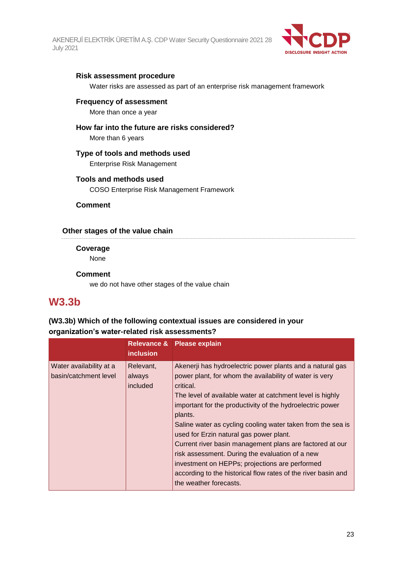

#### **Risk assessment procedure**

Water risks are assessed as part of an enterprise risk management framework

#### **Frequency of assessment**

More than once a year

#### **How far into the future are risks considered?**

More than 6 years

#### **Type of tools and methods used**

Enterprise Risk Management

#### **Tools and methods used**

COSO Enterprise Risk Management Framework

**Comment**

#### **Other stages of the value chain**

**Coverage**

None

#### **Comment**

we do not have other stages of the value chain

## **W3.3b**

#### **(W3.3b) Which of the following contextual issues are considered in your organization's water-related risk assessments?**

|                                                  | <b>Relevance &amp;</b><br><i>inclusion</i> | <b>Please explain</b>                                                                                                                                                                                                                                                                                                                                                                                                                                                                                                                                                                                                                        |
|--------------------------------------------------|--------------------------------------------|----------------------------------------------------------------------------------------------------------------------------------------------------------------------------------------------------------------------------------------------------------------------------------------------------------------------------------------------------------------------------------------------------------------------------------------------------------------------------------------------------------------------------------------------------------------------------------------------------------------------------------------------|
| Water availability at a<br>basin/catchment level | Relevant,<br>always<br>included            | Akenerji has hydroelectric power plants and a natural gas<br>power plant, for whom the availability of water is very<br>critical.<br>The level of available water at catchment level is highly<br>important for the productivity of the hydroelectric power<br>plants.<br>Saline water as cycling cooling water taken from the sea is<br>used for Erzin natural gas power plant.<br>Current river basin management plans are factored at our<br>risk assessment. During the evaluation of a new<br>investment on HEPPs; projections are performed<br>according to the historical flow rates of the river basin and<br>the weather forecasts. |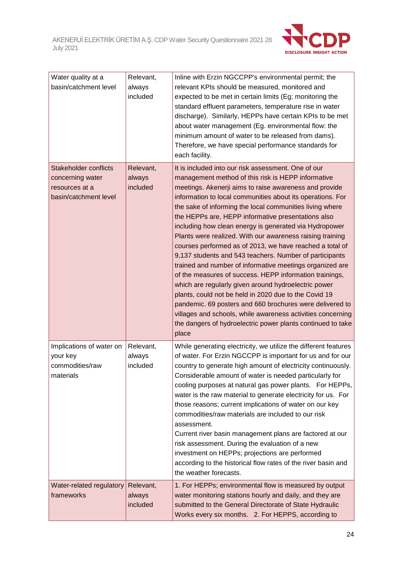

| Water quality at a<br>basin/catchment level                                                 | Relevant,<br>always<br>included | Inline with Erzin NGCCPP's environmental permit; the<br>relevant KPIs should be measured, monitored and<br>expected to be met in certain limits (Eg; monitoring the<br>standard effluent parameters, temperature rise in water<br>discharge). Similarly, HEPPs have certain KPIs to be met<br>about water management (Eg. environmental flow: the<br>minimum amount of water to be released from dams).<br>Therefore, we have special performance standards for<br>each facility.                                                                                                                                                                                                                                                                                                                                                                                                                                                                                                                                                            |
|---------------------------------------------------------------------------------------------|---------------------------------|----------------------------------------------------------------------------------------------------------------------------------------------------------------------------------------------------------------------------------------------------------------------------------------------------------------------------------------------------------------------------------------------------------------------------------------------------------------------------------------------------------------------------------------------------------------------------------------------------------------------------------------------------------------------------------------------------------------------------------------------------------------------------------------------------------------------------------------------------------------------------------------------------------------------------------------------------------------------------------------------------------------------------------------------|
| <b>Stakeholder conflicts</b><br>concerning water<br>resources at a<br>basin/catchment level | Relevant,<br>always<br>included | It is included into our risk assessment. One of our<br>management method of this risk is HEPP informative<br>meetings. Akenerji aims to raise awareness and provide<br>information to local communities about its operations. For<br>the sake of informing the local communities living where<br>the HEPPs are, HEPP informative presentations also<br>including how clean energy is generated via Hydropower<br>Plants were realized. With our awareness raising training<br>courses performed as of 2013, we have reached a total of<br>9,137 students and 543 teachers. Number of participants<br>trained and number of informative meetings organized are<br>of the measures of success. HEPP information trainings,<br>which are regularly given around hydroelectric power<br>plants, could not be held in 2020 due to the Covid 19<br>pandemic. 69 posters and 660 brochures were delivered to<br>villages and schools, while awareness activities concerning<br>the dangers of hydroelectric power plants continued to take<br>place |
| Implications of water on<br>your key<br>commodities/raw<br>materials                        | Relevant,<br>always<br>included | While generating electricity, we utilize the different features<br>of water. For Erzin NGCCPP is important for us and for our<br>country to generate high amount of electricity continuously.<br>Considerable amount of water is needed particularly for<br>cooling purposes at natural gas power plants. For HEPPs,<br>water is the raw material to generate electricity for us. For<br>those reasons; current implications of water on our key<br>commodities/raw materials are included to our risk<br>assessment.<br>Current river basin management plans are factored at our<br>risk assessment. During the evaluation of a new<br>investment on HEPPs; projections are performed<br>according to the historical flow rates of the river basin and<br>the weather forecasts.                                                                                                                                                                                                                                                            |
| Water-related regulatory<br>frameworks                                                      | Relevant,<br>always<br>included | 1. For HEPPs; environmental flow is measured by output<br>water monitoring stations hourly and daily, and they are<br>submitted to the General Directorate of State Hydraulic<br>Works every six months. 2. For HEPPS, according to                                                                                                                                                                                                                                                                                                                                                                                                                                                                                                                                                                                                                                                                                                                                                                                                          |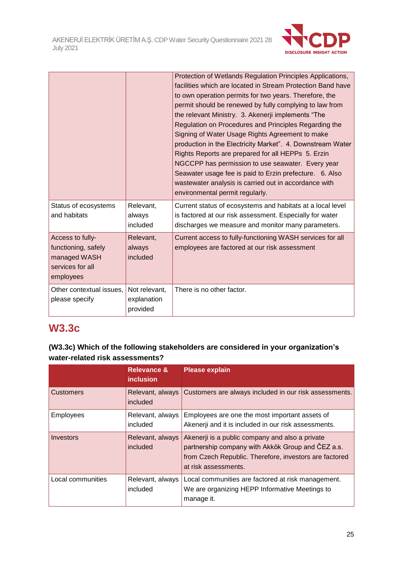

|                                                                                          |                                          | Protection of Wetlands Regulation Principles Applications,<br>facilities which are located in Stream Protection Band have<br>to own operation permits for two years. Therefore, the<br>permit should be renewed by fully complying to law from<br>the relevant Ministry. 3. Akenerji implements "The<br>Regulation on Procedures and Principles Regarding the<br>Signing of Water Usage Rights Agreement to make<br>production in the Electricity Market". 4. Downstream Water<br>Rights Reports are prepared for all HEPPs 5. Erzin<br>NGCCPP has permission to use seawater. Every year<br>Seawater usage fee is paid to Erzin prefecture. 6. Also<br>wastewater analysis is carried out in accordance with<br>environmental permit regularly. |
|------------------------------------------------------------------------------------------|------------------------------------------|--------------------------------------------------------------------------------------------------------------------------------------------------------------------------------------------------------------------------------------------------------------------------------------------------------------------------------------------------------------------------------------------------------------------------------------------------------------------------------------------------------------------------------------------------------------------------------------------------------------------------------------------------------------------------------------------------------------------------------------------------|
| Status of ecosystems<br>and habitats                                                     | Relevant,<br>always<br>included          | Current status of ecosystems and habitats at a local level<br>is factored at our risk assessment. Especially for water<br>discharges we measure and monitor many parameters.                                                                                                                                                                                                                                                                                                                                                                                                                                                                                                                                                                     |
| Access to fully-<br>functioning, safely<br>managed WASH<br>services for all<br>employees | Relevant,<br>always<br>included          | Current access to fully-functioning WASH services for all<br>employees are factored at our risk assessment                                                                                                                                                                                                                                                                                                                                                                                                                                                                                                                                                                                                                                       |
| Other contextual issues,<br>please specify                                               | Not relevant,<br>explanation<br>provided | There is no other factor.                                                                                                                                                                                                                                                                                                                                                                                                                                                                                                                                                                                                                                                                                                                        |

## **W3.3c**

## **(W3.3c) Which of the following stakeholders are considered in your organization's water-related risk assessments?**

|                   | <b>Relevance &amp;</b><br><i>inclusion</i> | <b>Please explain</b>                                                                                                                                                                  |
|-------------------|--------------------------------------------|----------------------------------------------------------------------------------------------------------------------------------------------------------------------------------------|
| <b>Customers</b>  | Relevant, always<br>included               | Customers are always included in our risk assessments.                                                                                                                                 |
| <b>Employees</b>  | Relevant, always<br>included               | Employees are one the most important assets of<br>Akenerji and it is included in our risk assessments.                                                                                 |
| Investors         | Relevant, always<br>included               | Akenerji is a public company and also a private<br>partnership company with Akkök Group and ČEZ a.s.<br>from Czech Republic. Therefore, investors are factored<br>at risk assessments. |
| Local communities | Relevant, always<br>included               | Local communities are factored at risk management.<br>We are organizing HEPP Informative Meetings to<br>manage it.                                                                     |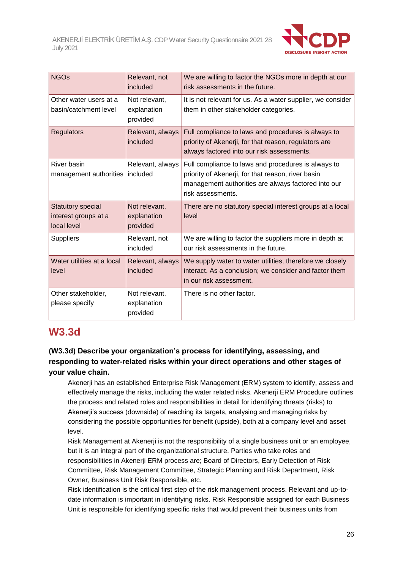

| <b>NGOs</b>                                                     | Relevant, not<br>included                | We are willing to factor the NGOs more in depth at our<br>risk assessments in the future.                                                                                             |
|-----------------------------------------------------------------|------------------------------------------|---------------------------------------------------------------------------------------------------------------------------------------------------------------------------------------|
| Other water users at a<br>basin/catchment level                 | Not relevant,<br>explanation<br>provided | It is not relevant for us. As a water supplier, we consider<br>them in other stakeholder categories.                                                                                  |
| <b>Regulators</b>                                               | Relevant, always<br>included             | Full compliance to laws and procedures is always to<br>priority of Akenerji, for that reason, regulators are<br>always factored into our risk assessments.                            |
| <b>River basin</b><br>management authorities                    | Relevant, always<br>included             | Full compliance to laws and procedures is always to<br>priority of Akenerji, for that reason, river basin<br>management authorities are always factored into our<br>risk assessments. |
| <b>Statutory special</b><br>interest groups at a<br>local level | Not relevant,<br>explanation<br>provided | There are no statutory special interest groups at a local<br>level                                                                                                                    |
| <b>Suppliers</b>                                                | Relevant, not<br>included                | We are willing to factor the suppliers more in depth at<br>our risk assessments in the future.                                                                                        |
| Water utilities at a local<br>level                             | Relevant, always<br>included             | We supply water to water utilities, therefore we closely<br>interact. As a conclusion; we consider and factor them<br>in our risk assessment.                                         |
| Other stakeholder,<br>please specify                            | Not relevant,<br>explanation<br>provided | There is no other factor.                                                                                                                                                             |

# **W3.3d**

### **(W3.3d) Describe your organization's process for identifying, assessing, and responding to water-related risks within your direct operations and other stages of your value chain.**

Akenerji has an established Enterprise Risk Management (ERM) system to identify, assess and effectively manage the risks, including the water related risks. Akenerji ERM Procedure outlines the process and related roles and responsibilities in detail for identifying threats (risks) to Akenerji's success (downside) of reaching its targets, analysing and managing risks by considering the possible opportunities for benefit (upside), both at a company level and asset level.

Risk Management at Akenerji is not the responsibility of a single business unit or an employee, but it is an integral part of the organizational structure. Parties who take roles and responsibilities in Akenerji ERM process are; Board of Directors, Early Detection of Risk Committee, Risk Management Committee, Strategic Planning and Risk Department, Risk Owner, Business Unit Risk Responsible, etc.

Risk identification is the critical first step of the risk management process. Relevant and up-todate information is important in identifying risks. Risk Responsible assigned for each Business Unit is responsible for identifying specific risks that would prevent their business units from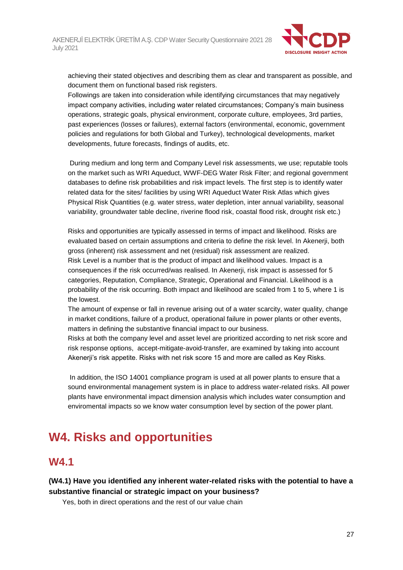

achieving their stated objectives and describing them as clear and transparent as possible, and document them on functional based risk registers.

Followings are taken into consideration while identifying circumstances that may negatively impact company activities, including water related circumstances; Company's main business operations, strategic goals, physical environment, corporate culture, employees, 3rd parties, past experiences (losses or failures), external factors (environmental, economic, government policies and regulations for both Global and Turkey), technological developments, market developments, future forecasts, findings of audits, etc.

During medium and long term and Company Level risk assessments, we use; reputable tools on the market such as WRI Aqueduct, WWF-DEG Water Risk Filter; and regional government databases to define risk probabilities and risk impact levels. The first step is to identify water related data for the sites/ facilities by using WRI Aqueduct Water Risk Atlas which gives Physical Risk Quantities (e.g. water stress, water depletion, inter annual variability, seasonal variability, groundwater table decline, riverine flood risk, coastal flood risk, drought risk etc.)

Risks and opportunities are typically assessed in terms of impact and likelihood. Risks are evaluated based on certain assumptions and criteria to define the risk level. In Akenerji, both gross (inherent) risk assessment and net (residual) risk assessment are realized. Risk Level is a number that is the product of impact and likelihood values. Impact is a consequences if the risk occurred/was realised. In Akenerji, risk impact is assessed for 5 categories, Reputation, Compliance, Strategic, Operational and Financial. Likelihood is a probability of the risk occurring. Both impact and likelihood are scaled from 1 to 5, where 1 is the lowest.

The amount of expense or fall in revenue arising out of a water scarcity, water quality, change in market conditions, failure of a product, operational failure in power plants or other events, matters in defining the substantive financial impact to our business.

Risks at both the company level and asset level are prioritized according to net risk score and risk response options, accept-mitigate-avoid-transfer, are examined by taking into account Akenerji's risk appetite. Risks with net risk score 15 and more are called as Key Risks.

In addition, the ISO 14001 compliance program is used at all power plants to ensure that a sound environmental management system is in place to address water-related risks. All power plants have environmental impact dimension analysis which includes water consumption and enviromental impacts so we know water consumption level by section of the power plant.

# **W4. Risks and opportunities**

## **W4.1**

**(W4.1) Have you identified any inherent water-related risks with the potential to have a substantive financial or strategic impact on your business?**

Yes, both in direct operations and the rest of our value chain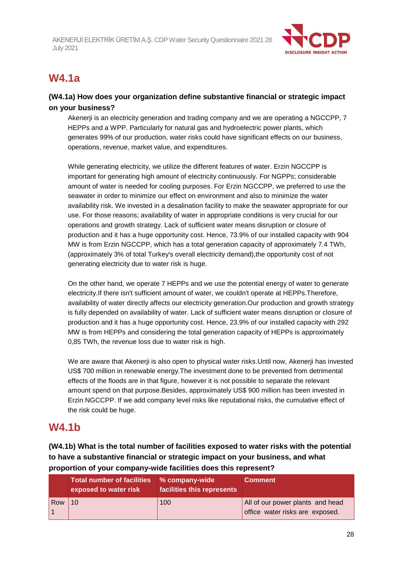

# **W4.1a**

### **(W4.1a) How does your organization define substantive financial or strategic impact on your business?**

Akenerji is an electricity generation and trading company and we are operating a NGCCPP, 7 HEPPs and a WPP. Particularly for natural gas and hydroelectric power plants, which generates 99% of our production, water risks could have significant effects on our business, operations, revenue, market value, and expenditures.

While generating electricity, we utilize the different features of water. Erzin NGCCPP is important for generating high amount of electricity continuously. For NGPPs; considerable amount of water is needed for cooling purposes. For Erzin NGCCPP, we preferred to use the seawater in order to minimize our effect on environment and also to minimize the water availability risk. We invested in a desalination facility to make the seawater appropriate for our use. For those reasons; availability of water in appropriate conditions is very crucial for our operations and growth strategy. Lack of sufficient water means disruption or closure of production and it has a huge opportunity cost. Hence, 73.9% of our installed capacity with 904 MW is from Erzin NGCCPP, which has a total generation capacity of approximately 7.4 TWh, (approximately 3% of total Turkey's overall electricity demand),the opportunity cost of not generating electricity due to water risk is huge.

On the other hand, we operate 7 HEPPs and we use the potential energy of water to generate electricity.If there isn't sufficient amount of water, we couldn't operate at HEPPs.Therefore, availability of water directly affects our electricity generation.Our production and growth strategy is fully depended on availability of water. Lack of sufficient water means disruption or closure of production and it has a huge opportunity cost. Hence, 23.9% of our installed capacity with 292 MW is from HEPPs and considering the total generation capacity of HEPPs is approximately 0,85 TWh, the revenue loss due to water risk is high.

We are aware that Akenerji is also open to physical water risks.Until now, Akenerji has invested US\$ 700 million in renewable energy.The investment done to be prevented from detrimental effects of the floods are in that figure, however it is not possible to separate the relevant amount spend on that purpose.Besides, approximately US\$ 900 million has been invested in Erzin NGCCPP. If we add company level risks like reputational risks, the cumulative effect of the risk could be huge.

# **W4.1b**

**(W4.1b) What is the total number of facilities exposed to water risks with the potential to have a substantive financial or strategic impact on your business, and what proportion of your company-wide facilities does this represent?**

|     | <b>Total number of facilities</b><br>exposed to water risk | % company-wide<br>facilities this represents | <b>Comment</b>                                                      |
|-----|------------------------------------------------------------|----------------------------------------------|---------------------------------------------------------------------|
| Row | 10                                                         | 100                                          | All of our power plants and head<br>office water risks are exposed. |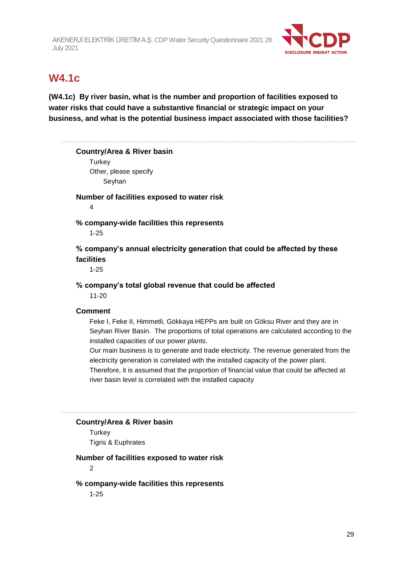

# **W4.1c**

**(W4.1c) By river basin, what is the number and proportion of facilities exposed to water risks that could have a substantive financial or strategic impact on your business, and what is the potential business impact associated with those facilities?**

#### **Country/Area & River basin**

**Turkey** Other, please specify Seyhan

**Number of facilities exposed to water risk**

4

#### **% company-wide facilities this represents**

1-25

### **% company's annual electricity generation that could be affected by these facilities**

1-25

#### **% company's total global revenue that could be affected**

11-20

#### **Comment**

Feke I, Feke II, Himmetli, Gökkaya HEPPs are built on Göksu River and they are in Seyhan River Basin. The proportions of total operations are calculated according to the installed capacities of our power plants.

Our main business is to generate and trade electricity. The revenue generated from the electricity generation is correlated with the installed capacity of the power plant. Therefore, it is assumed that the proportion of financial value that could be affected at river basin level is correlated with the installed capacity

#### **Country/Area & River basin**

**Turkey** Tigris & Euphrates

#### **Number of facilities exposed to water risk**

2

#### **% company-wide facilities this represents**

1-25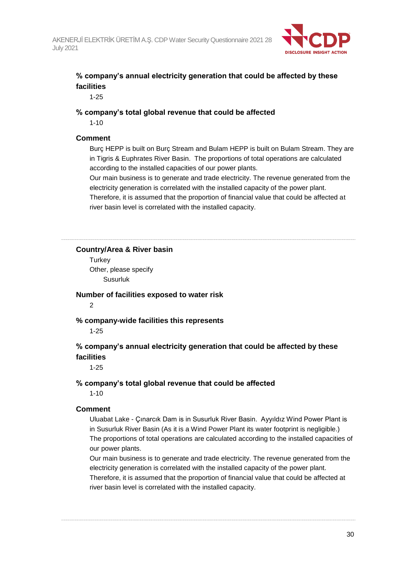

## **% company's annual electricity generation that could be affected by these facilities**

1-25

#### **% company's total global revenue that could be affected**

1-10

#### **Comment**

Burç HEPP is built on Burç Stream and Bulam HEPP is built on Bulam Stream. They are in Tigris & Euphrates River Basin. The proportions of total operations are calculated according to the installed capacities of our power plants.

Our main business is to generate and trade electricity. The revenue generated from the electricity generation is correlated with the installed capacity of the power plant.

Therefore, it is assumed that the proportion of financial value that could be affected at river basin level is correlated with the installed capacity.

#### **Country/Area & River basin**

**Turkey** Other, please specify Susurluk

#### **Number of facilities exposed to water risk**

2

#### **% company-wide facilities this represents**

1-25

#### **% company's annual electricity generation that could be affected by these facilities**

1-25

#### **% company's total global revenue that could be affected**

1-10

#### **Comment**

Uluabat Lake - Çınarcık Dam is in Susurluk River Basin. Ayyıldız Wind Power Plant is in Susurluk River Basin (As it is a Wind Power Plant its water footprint is negligible.) The proportions of total operations are calculated according to the installed capacities of our power plants.

Our main business is to generate and trade electricity. The revenue generated from the electricity generation is correlated with the installed capacity of the power plant. Therefore, it is assumed that the proportion of financial value that could be affected at river basin level is correlated with the installed capacity.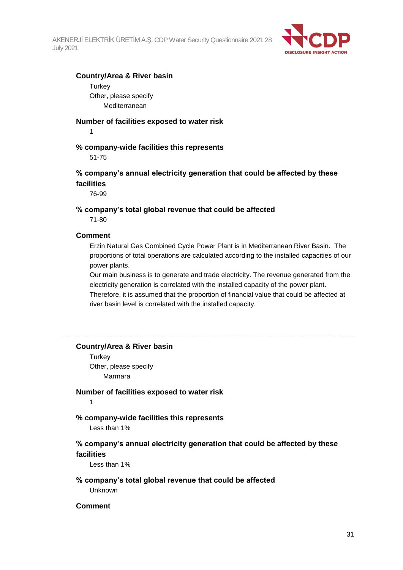

#### **Country/Area & River basin**

**Turkey** Other, please specify Mediterranean

#### **Number of facilities exposed to water risk**

1

#### **% company-wide facilities this represents**

51-75

#### **% company's annual electricity generation that could be affected by these facilities**

76-99

## **% company's total global revenue that could be affected**

71-80

#### **Comment**

Erzin Natural Gas Combined Cycle Power Plant is in Mediterranean River Basin. The proportions of total operations are calculated according to the installed capacities of our power plants.

Our main business is to generate and trade electricity. The revenue generated from the electricity generation is correlated with the installed capacity of the power plant. Therefore, it is assumed that the proportion of financial value that could be affected at river basin level is correlated with the installed capacity.

#### **Country/Area & River basin**

**Turkey** Other, please specify Marmara

#### **Number of facilities exposed to water risk**

1

#### **% company-wide facilities this represents**

Less than 1%

#### **% company's annual electricity generation that could be affected by these facilities**

Less than 1%

#### **% company's total global revenue that could be affected**

Unknown

#### **Comment**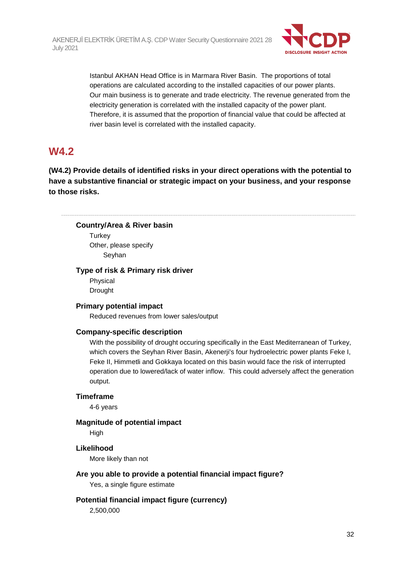

Istanbul AKHAN Head Office is in Marmara River Basin. The proportions of total operations are calculated according to the installed capacities of our power plants. Our main business is to generate and trade electricity. The revenue generated from the electricity generation is correlated with the installed capacity of the power plant. Therefore, it is assumed that the proportion of financial value that could be affected at river basin level is correlated with the installed capacity.

## **W4.2**

**(W4.2) Provide details of identified risks in your direct operations with the potential to have a substantive financial or strategic impact on your business, and your response to those risks.**

#### **Country/Area & River basin**

**Turkey** Other, please specify Seyhan

#### **Type of risk & Primary risk driver**

Physical Drought

#### **Primary potential impact**

Reduced revenues from lower sales/output

#### **Company-specific description**

With the possibility of drought occuring specifically in the East Mediterranean of Turkey, which covers the Seyhan River Basin, Akenerji's four hydroelectric power plants Feke I, Feke II, Himmetli and Gokkaya located on this basin would face the risk of interrupted operation due to lowered/lack of water inflow. This could adversely affect the generation output.

#### **Timeframe**

4-6 years

#### **Magnitude of potential impact**

High

### **Likelihood**

More likely than not

#### **Are you able to provide a potential financial impact figure?**

Yes, a single figure estimate

#### **Potential financial impact figure (currency)**

2,500,000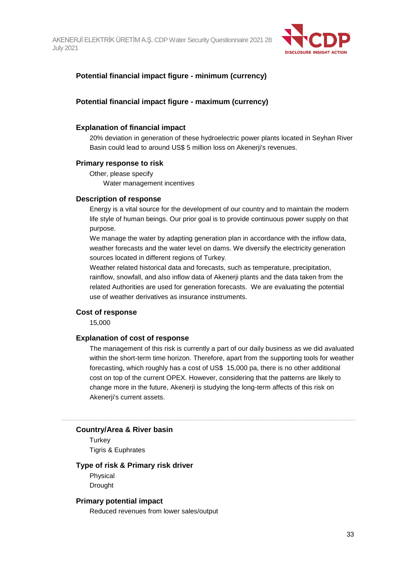

#### **Potential financial impact figure - minimum (currency)**

#### **Potential financial impact figure - maximum (currency)**

#### **Explanation of financial impact**

20% deviation in generation of these hydroelectric power plants located in Seyhan River Basin could lead to around US\$ 5 million loss on Akenerji's revenues.

#### **Primary response to risk**

Other, please specify Water management incentives

#### **Description of response**

Energy is a vital source for the development of our country and to maintain the modern life style of human beings. Our prior goal is to provide continuous power supply on that purpose.

We manage the water by adapting generation plan in accordance with the inflow data, weather forecasts and the water level on dams. We diversify the electricity generation sources located in different regions of Turkey.

Weather related historical data and forecasts, such as temperature, precipitation, rainflow, snowfall, and also inflow data of Akenerji plants and the data taken from the related Authorities are used for generation forecasts. We are evaluating the potential use of weather derivatives as insurance instruments.

#### **Cost of response**

15,000

#### **Explanation of cost of response**

The management of this risk is currently a part of our daily business as we did avaluated within the short-term time horizon. Therefore, apart from the supporting tools for weather forecasting, which roughly has a cost of US\$ 15,000 pa, there is no other additional cost on top of the current OPEX. However, considering that the patterns are likely to change more in the future, Akenerji is studying the long-term affects of this risk on Akenerji's current assets.

#### **Country/Area & River basin**

**Turkey** Tigris & Euphrates

#### **Type of risk & Primary risk driver**

Physical Drought

#### **Primary potential impact**

Reduced revenues from lower sales/output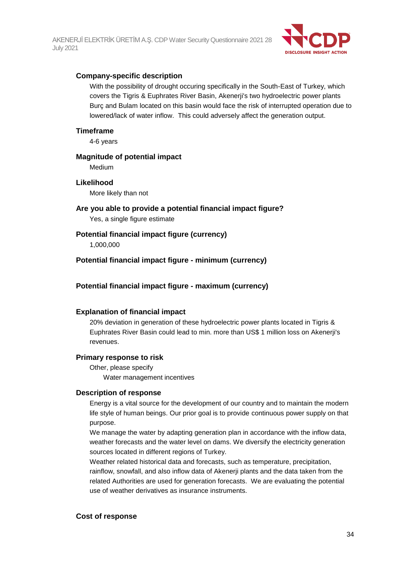

#### **Company-specific description**

With the possibility of drought occuring specifically in the South-East of Turkey, which covers the Tigris & Euphrates River Basin, Akenerji's two hydroelectric power plants Burç and Bulam located on this basin would face the risk of interrupted operation due to lowered/lack of water inflow. This could adversely affect the generation output.

#### **Timeframe**

4-6 years

#### **Magnitude of potential impact**

Medium

#### **Likelihood**

More likely than not

#### **Are you able to provide a potential financial impact figure?**

Yes, a single figure estimate

#### **Potential financial impact figure (currency)**

1,000,000

#### **Potential financial impact figure - minimum (currency)**

#### **Potential financial impact figure - maximum (currency)**

#### **Explanation of financial impact**

20% deviation in generation of these hydroelectric power plants located in Tigris & Euphrates River Basin could lead to min. more than US\$ 1 million loss on Akenerji's revenues.

#### **Primary response to risk**

Other, please specify Water management incentives

#### **Description of response**

Energy is a vital source for the development of our country and to maintain the modern life style of human beings. Our prior goal is to provide continuous power supply on that purpose.

We manage the water by adapting generation plan in accordance with the inflow data, weather forecasts and the water level on dams. We diversify the electricity generation sources located in different regions of Turkey.

Weather related historical data and forecasts, such as temperature, precipitation, rainflow, snowfall, and also inflow data of Akenerji plants and the data taken from the related Authorities are used for generation forecasts. We are evaluating the potential use of weather derivatives as insurance instruments.

#### **Cost of response**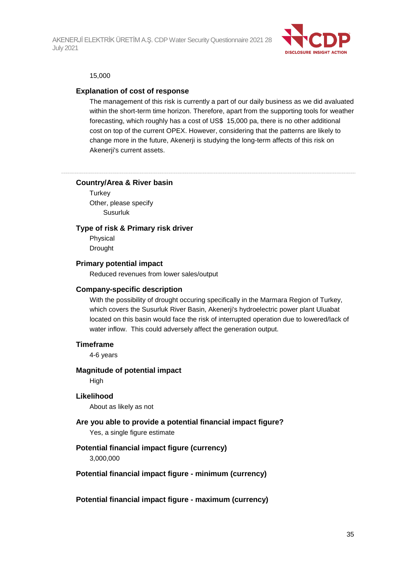

#### 15,000

#### **Explanation of cost of response**

The management of this risk is currently a part of our daily business as we did avaluated within the short-term time horizon. Therefore, apart from the supporting tools for weather forecasting, which roughly has a cost of US\$ 15,000 pa, there is no other additional cost on top of the current OPEX. However, considering that the patterns are likely to change more in the future, Akenerji is studying the long-term affects of this risk on Akenerji's current assets.

#### **Country/Area & River basin**

**Turkey** Other, please specify Susurluk

#### **Type of risk & Primary risk driver**

Physical Drought

#### **Primary potential impact**

Reduced revenues from lower sales/output

#### **Company-specific description**

With the possibility of drought occuring specifically in the Marmara Region of Turkey, which covers the Susurluk River Basin, Akenerji's hydroelectric power plant Uluabat located on this basin would face the risk of interrupted operation due to lowered/lack of water inflow. This could adversely affect the generation output.

#### **Timeframe**

4-6 years

#### **Magnitude of potential impact**

High

#### **Likelihood**

About as likely as not

#### **Are you able to provide a potential financial impact figure?**

Yes, a single figure estimate

#### **Potential financial impact figure (currency)**

3,000,000

#### **Potential financial impact figure - minimum (currency)**

**Potential financial impact figure - maximum (currency)**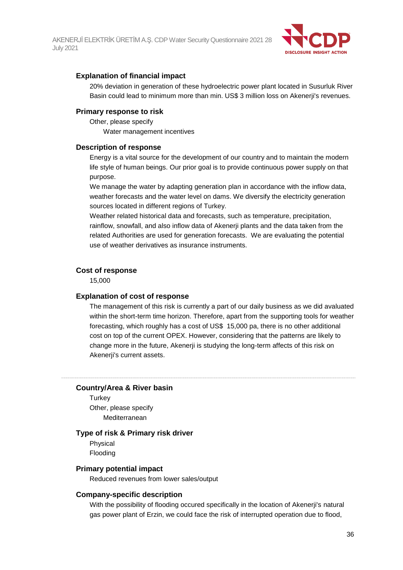

#### **Explanation of financial impact**

20% deviation in generation of these hydroelectric power plant located in Susurluk River Basin could lead to minimum more than min. US\$ 3 million loss on Akenerji's revenues.

#### **Primary response to risk**

Other, please specify Water management incentives

#### **Description of response**

Energy is a vital source for the development of our country and to maintain the modern life style of human beings. Our prior goal is to provide continuous power supply on that purpose.

We manage the water by adapting generation plan in accordance with the inflow data, weather forecasts and the water level on dams. We diversify the electricity generation sources located in different regions of Turkey.

Weather related historical data and forecasts, such as temperature, precipitation, rainflow, snowfall, and also inflow data of Akenerji plants and the data taken from the related Authorities are used for generation forecasts. We are evaluating the potential use of weather derivatives as insurance instruments.

#### **Cost of response**

15,000

#### **Explanation of cost of response**

The management of this risk is currently a part of our daily business as we did avaluated within the short-term time horizon. Therefore, apart from the supporting tools for weather forecasting, which roughly has a cost of US\$ 15,000 pa, there is no other additional cost on top of the current OPEX. However, considering that the patterns are likely to change more in the future, Akenerji is studying the long-term affects of this risk on Akenerji's current assets.

#### **Country/Area & River basin**

**Turkey** Other, please specify Mediterranean

#### **Type of risk & Primary risk driver**

Physical Flooding

#### **Primary potential impact**

Reduced revenues from lower sales/output

#### **Company-specific description**

With the possibility of flooding occured specifically in the location of Akenerji's natural gas power plant of Erzin, we could face the risk of interrupted operation due to flood,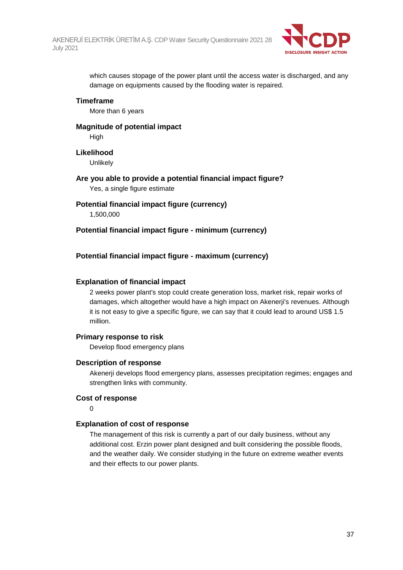

which causes stopage of the power plant until the access water is discharged, and any damage on equipments caused by the flooding water is repaired.

#### **Timeframe**

More than 6 years

### **Magnitude of potential impact** High

**Likelihood**

**Unlikely** 

## **Are you able to provide a potential financial impact figure?**

Yes, a single figure estimate

# **Potential financial impact figure (currency)**

1,500,000

### **Potential financial impact figure - minimum (currency)**

### **Potential financial impact figure - maximum (currency)**

### **Explanation of financial impact**

2 weeks power plant's stop could create generation loss, market risk, repair works of damages, which altogether would have a high impact on Akenerji's revenues. Although it is not easy to give a specific figure, we can say that it could lead to around US\$ 1.5 million.

### **Primary response to risk**

Develop flood emergency plans

#### **Description of response**

Akenerji develops flood emergency plans, assesses precipitation regimes; engages and strengthen links with community.

#### **Cost of response**

0

### **Explanation of cost of response**

The management of this risk is currently a part of our daily business, without any additional cost. Erzin power plant designed and built considering the possible floods, and the weather daily. We consider studying in the future on extreme weather events and their effects to our power plants.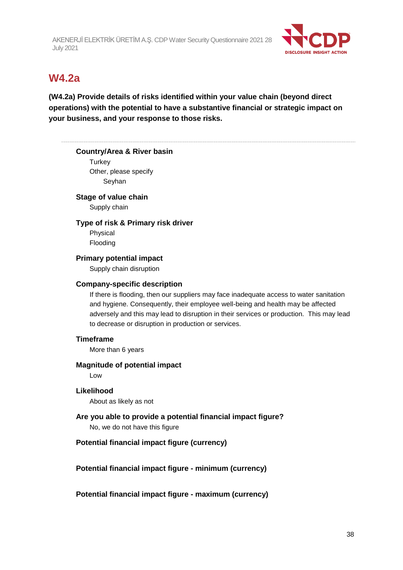

# **W4.2a**

# **(W4.2a) Provide details of risks identified within your value chain (beyond direct operations) with the potential to have a substantive financial or strategic impact on your business, and your response to those risks.**

#### **Country/Area & River basin**

**Turkey** Other, please specify Seyhan

### **Stage of value chain**

Supply chain

#### **Type of risk & Primary risk driver**

Physical Flooding

### **Primary potential impact**

Supply chain disruption

#### **Company-specific description**

If there is flooding, then our suppliers may face inadequate access to water sanitation and hygiene. Consequently, their employee well-being and health may be affected adversely and this may lead to disruption in their services or production. This may lead to decrease or disruption in production or services.

### **Timeframe**

More than 6 years

#### **Magnitude of potential impact**

Low

### **Likelihood**

About as likely as not

# **Are you able to provide a potential financial impact figure?**

No, we do not have this figure

### **Potential financial impact figure (currency)**

**Potential financial impact figure - minimum (currency)**

**Potential financial impact figure - maximum (currency)**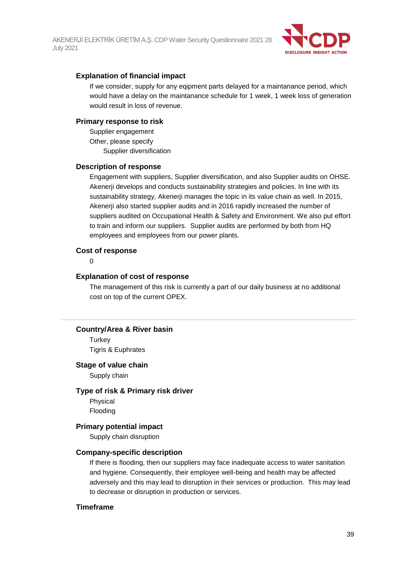

### **Explanation of financial impact**

If we consider, supply for any eqipment parts delayed for a maintanance period, which would have a delay on the maintanance schedule for 1 week, 1 week loss of generation would result in loss of revenue.

#### **Primary response to risk**

Supplier engagement Other, please specify Supplier diversification

#### **Description of response**

Engagement with suppliers, Supplier diversification, and also Supplier audits on OHSE. Akenerji develops and conducts sustainability strategies and policies. In line with its sustainability strategy, Akenerji manages the topic in its value chain as well. In 2015, Akenerji also started supplier audits and in 2016 rapidly increased the number of suppliers audited on Occupational Health & Safety and Environment. We also put effort to train and inform our suppliers. Supplier audits are performed by both from HQ employees and employees from our power plants.

#### **Cost of response**

#### $\Omega$

#### **Explanation of cost of response**

The management of this risk is currently a part of our daily business at no additional cost on top of the current OPEX.

#### **Country/Area & River basin**

**Turkey** Tigris & Euphrates

#### **Stage of value chain**

Supply chain

#### **Type of risk & Primary risk driver**

Physical Flooding

#### **Primary potential impact**

Supply chain disruption

#### **Company-specific description**

If there is flooding, then our suppliers may face inadequate access to water sanitation and hygiene. Consequently, their employee well-being and health may be affected adversely and this may lead to disruption in their services or production. This may lead to decrease or disruption in production or services.

#### **Timeframe**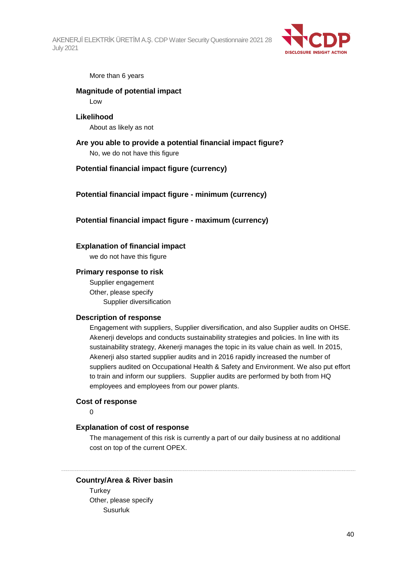

#### More than 6 years

## **Magnitude of potential impact**

Low

## **Likelihood**

About as likely as not

#### **Are you able to provide a potential financial impact figure?** No, we do not have this figure

#### **Potential financial impact figure (currency)**

**Potential financial impact figure - minimum (currency)**

#### **Potential financial impact figure - maximum (currency)**

#### **Explanation of financial impact**

we do not have this figure

#### **Primary response to risk**

Supplier engagement Other, please specify Supplier diversification

#### **Description of response**

Engagement with suppliers, Supplier diversification, and also Supplier audits on OHSE. Akenerji develops and conducts sustainability strategies and policies. In line with its sustainability strategy, Akenerji manages the topic in its value chain as well. In 2015, Akenerji also started supplier audits and in 2016 rapidly increased the number of suppliers audited on Occupational Health & Safety and Environment. We also put effort to train and inform our suppliers. Supplier audits are performed by both from HQ employees and employees from our power plants.

#### **Cost of response**

 $\Omega$ 

#### **Explanation of cost of response**

The management of this risk is currently a part of our daily business at no additional cost on top of the current OPEX.

#### **Country/Area & River basin**

**Turkey** Other, please specify Susurluk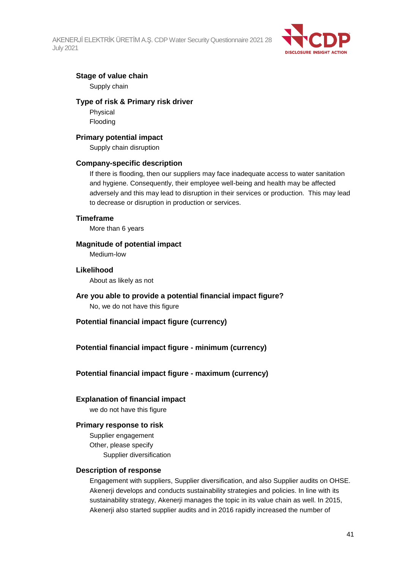

### **Stage of value chain**

Supply chain

#### **Type of risk & Primary risk driver**

Physical Flooding

#### **Primary potential impact**

Supply chain disruption

#### **Company-specific description**

If there is flooding, then our suppliers may face inadequate access to water sanitation and hygiene. Consequently, their employee well-being and health may be affected adversely and this may lead to disruption in their services or production. This may lead to decrease or disruption in production or services.

#### **Timeframe**

More than 6 years

### **Magnitude of potential impact**

Medium-low

#### **Likelihood**

About as likely as not

# **Are you able to provide a potential financial impact figure?**

No, we do not have this figure

### **Potential financial impact figure (currency)**

### **Potential financial impact figure - minimum (currency)**

### **Potential financial impact figure - maximum (currency)**

### **Explanation of financial impact**

we do not have this figure

#### **Primary response to risk**

Supplier engagement Other, please specify Supplier diversification

#### **Description of response**

Engagement with suppliers, Supplier diversification, and also Supplier audits on OHSE. Akenerji develops and conducts sustainability strategies and policies. In line with its sustainability strategy, Akenerji manages the topic in its value chain as well. In 2015, Akenerji also started supplier audits and in 2016 rapidly increased the number of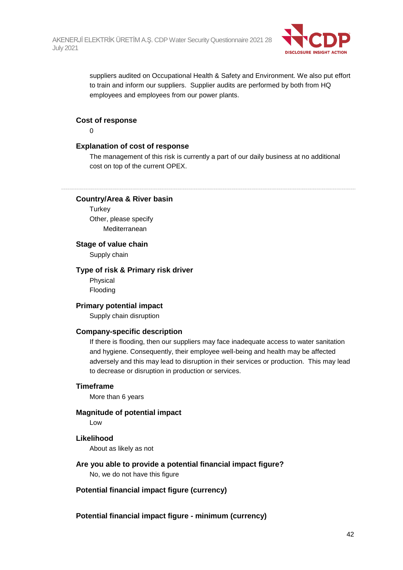

suppliers audited on Occupational Health & Safety and Environment. We also put effort to train and inform our suppliers. Supplier audits are performed by both from HQ employees and employees from our power plants.

#### **Cost of response**

 $\Omega$ 

### **Explanation of cost of response**

The management of this risk is currently a part of our daily business at no additional cost on top of the current OPEX.

#### **Country/Area & River basin**

**Turkey** Other, please specify Mediterranean

#### **Stage of value chain**

Supply chain

#### **Type of risk & Primary risk driver**

Physical Flooding

#### **Primary potential impact**

Supply chain disruption

#### **Company-specific description**

If there is flooding, then our suppliers may face inadequate access to water sanitation and hygiene. Consequently, their employee well-being and health may be affected adversely and this may lead to disruption in their services or production. This may lead to decrease or disruption in production or services.

#### **Timeframe**

More than 6 years

#### **Magnitude of potential impact**

Low

#### **Likelihood**

About as likely as not

#### **Are you able to provide a potential financial impact figure?**

No, we do not have this figure

**Potential financial impact figure (currency)**

**Potential financial impact figure - minimum (currency)**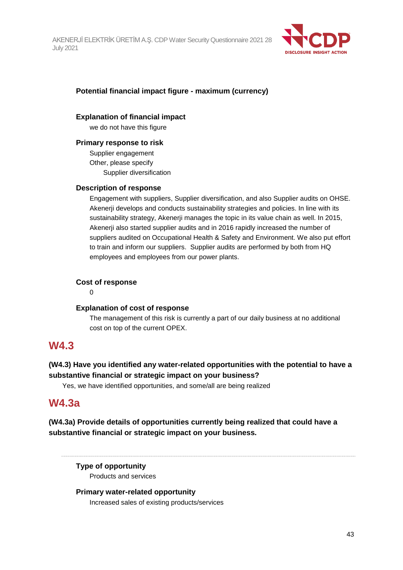

## **Potential financial impact figure - maximum (currency)**

### **Explanation of financial impact**

we do not have this figure

## **Primary response to risk**

Supplier engagement Other, please specify Supplier diversification

## **Description of response**

Engagement with suppliers, Supplier diversification, and also Supplier audits on OHSE. Akenerji develops and conducts sustainability strategies and policies. In line with its sustainability strategy, Akenerji manages the topic in its value chain as well. In 2015, Akenerji also started supplier audits and in 2016 rapidly increased the number of suppliers audited on Occupational Health & Safety and Environment. We also put effort to train and inform our suppliers. Supplier audits are performed by both from HQ employees and employees from our power plants.

## **Cost of response**

0

### **Explanation of cost of response**

The management of this risk is currently a part of our daily business at no additional cost on top of the current OPEX.

# **W4.3**

# **(W4.3) Have you identified any water-related opportunities with the potential to have a substantive financial or strategic impact on your business?**

Yes, we have identified opportunities, and some/all are being realized

# **W4.3a**

**(W4.3a) Provide details of opportunities currently being realized that could have a substantive financial or strategic impact on your business.**

**Type of opportunity** Products and services

### **Primary water-related opportunity** Increased sales of existing products/services

43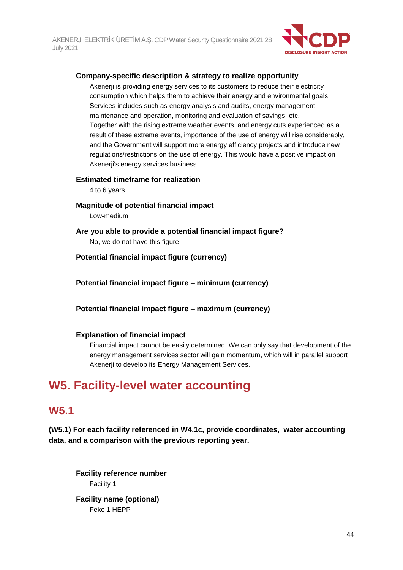

### **Company-specific description & strategy to realize opportunity**

Akenerji is providing energy services to its customers to reduce their electricity consumption which helps them to achieve their energy and environmental goals. Services includes such as energy analysis and audits, energy management, maintenance and operation, monitoring and evaluation of savings, etc. Together with the rising extreme weather events, and energy cuts experienced as a result of these extreme events, importance of the use of energy will rise considerably, and the Government will support more energy efficiency projects and introduce new regulations/restrictions on the use of energy. This would have a positive impact on Akenerji's energy services business.

#### **Estimated timeframe for realization**

4 to 6 years

- **Magnitude of potential financial impact** Low-medium
- **Are you able to provide a potential financial impact figure?** No, we do not have this figure

**Potential financial impact figure (currency)**

**Potential financial impact figure – minimum (currency)**

**Potential financial impact figure – maximum (currency)**

#### **Explanation of financial impact**

Financial impact cannot be easily determined. We can only say that development of the energy management services sector will gain momentum, which will in parallel support Akenerji to develop its Energy Management Services.

# **W5. Facility-level water accounting**

# **W5.1**

**(W5.1) For each facility referenced in W4.1c, provide coordinates, water accounting data, and a comparison with the previous reporting year.**

**Facility reference number** Facility 1

**Facility name (optional)** Feke 1 HEPP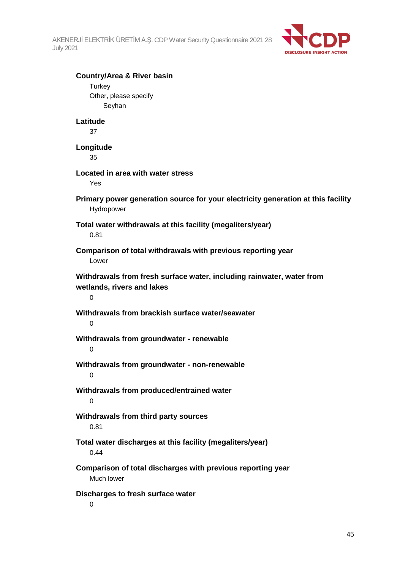

| <b>Country/Area &amp; River basin</b>                                            |  |
|----------------------------------------------------------------------------------|--|
| Turkey                                                                           |  |
| Other, please specify                                                            |  |
| Seyhan                                                                           |  |
| Latitude                                                                         |  |
| 37                                                                               |  |
| Longitude                                                                        |  |
| 35                                                                               |  |
| Located in area with water stress                                                |  |
| Yes                                                                              |  |
|                                                                                  |  |
| Primary power generation source for your electricity generation at this facility |  |
| Hydropower                                                                       |  |
| Total water withdrawals at this facility (megaliters/year)                       |  |
| 0.81                                                                             |  |
| Comparison of total withdrawals with previous reporting year                     |  |
| Lower                                                                            |  |
|                                                                                  |  |
| Withdrawals from fresh surface water, including rainwater, water from            |  |
| wetlands, rivers and lakes<br>0                                                  |  |
|                                                                                  |  |
| Withdrawals from brackish surface water/seawater                                 |  |
| $\mathbf 0$                                                                      |  |
| Withdrawals from groundwater - renewable                                         |  |
| $\Omega$                                                                         |  |
|                                                                                  |  |
| Withdrawals from groundwater - non-renewable                                     |  |
| O                                                                                |  |
| Withdrawals from produced/entrained water                                        |  |
| 0                                                                                |  |
| Withdrawals from third party sources                                             |  |
| 0.81                                                                             |  |
|                                                                                  |  |
| Total water discharges at this facility (megaliters/year)                        |  |
| 0.44                                                                             |  |
| Comparison of total discharges with previous reporting year                      |  |
| Much lower                                                                       |  |
| Discharges to fresh surface water                                                |  |
|                                                                                  |  |

0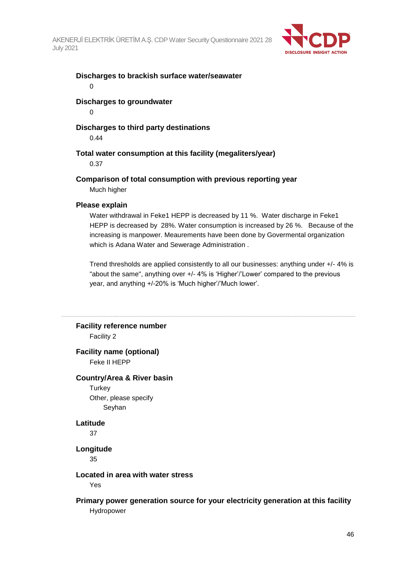

# **Discharges to brackish surface water/seawater**

0

## **Discharges to groundwater**

 $\Omega$ 

## **Discharges to third party destinations**

0.44

## **Total water consumption at this facility (megaliters/year)**

0.37

## **Comparison of total consumption with previous reporting year**

Much higher

#### **Please explain**

Water withdrawal in Feke1 HEPP is decreased by 11 %. Water discharge in Feke1 HEPP is decreased by 28%. Water consumption is increased by 26 %. Because of the increasing is manpower. Meaurements have been done by Govermental organization which is Adana Water and Sewerage Administration .

Trend thresholds are applied consistently to all our businesses: anything under +/- 4% is "about the same", anything over +/- 4% is 'Higher'/'Lower' compared to the previous year, and anything +/-20% is 'Much higher'/'Much lower'.

# **Facility reference number**

Facility 2

# **Facility name (optional)**

Feke II HEPP

#### **Country/Area & River basin**

**Turkey** Other, please specify Seyhan

#### **Latitude**

37

### **Longitude**

35

#### **Located in area with water stress**

Yes

### **Primary power generation source for your electricity generation at this facility** Hydropower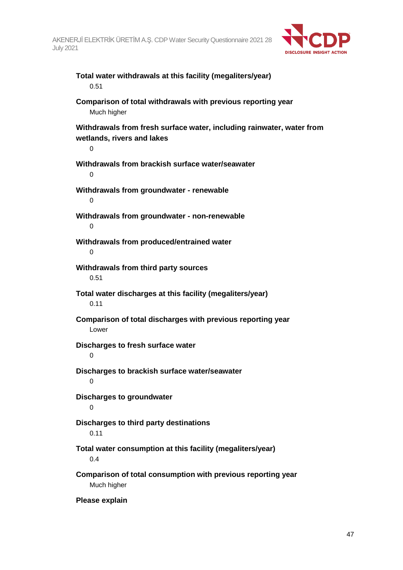

## **Total water withdrawals at this facility (megaliters/year)** 0.51

**Comparison of total withdrawals with previous reporting year** Much higher

**Withdrawals from fresh surface water, including rainwater, water from wetlands, rivers and lakes**

**Withdrawals from brackish surface water/seawater** 0 **Withdrawals from groundwater - renewable**  $\Omega$ **Withdrawals from groundwater - non-renewable**  $\Omega$ **Withdrawals from produced/entrained water**  $\Omega$ **Withdrawals from third party sources** 0.51 **Total water discharges at this facility (megaliters/year)** 0.11 **Comparison of total discharges with previous reporting year** Lower **Discharges to fresh surface water**  $\Omega$ **Discharges to brackish surface water/seawater** 0 **Discharges to groundwater**  $\Omega$ **Discharges to third party destinations** 0.11 **Total water consumption at this facility (megaliters/year)** 0.4 **Comparison of total consumption with previous reporting year** Much higher

**Please explain**

 $\Omega$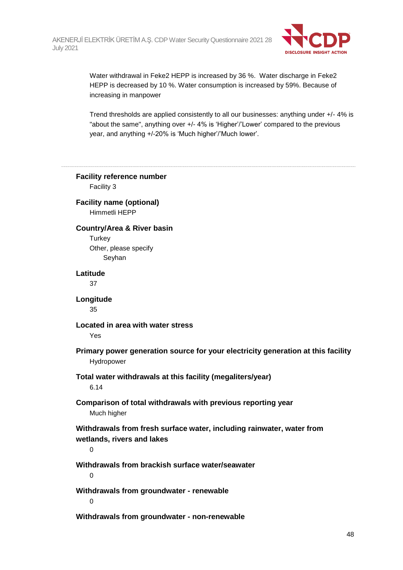

Water withdrawal in Feke2 HEPP is increased by 36 %. Water discharge in Feke2 HEPP is decreased by 10 %. Water consumption is increased by 59%. Because of increasing in manpower

Trend thresholds are applied consistently to all our businesses: anything under +/- 4% is "about the same", anything over +/- 4% is 'Higher'/'Lower' compared to the previous year, and anything +/-20% is 'Much higher'/'Much lower'.

**Facility reference number** Facility 3 **Facility name (optional)** Himmetli HEPP **Country/Area & River basin Turkey** Other, please specify Seyhan **Latitude** 37 **Longitude** 35 **Located in area with water stress** Yes **Primary power generation source for your electricity generation at this facility** Hydropower **Total water withdrawals at this facility (megaliters/year)** 6.14 **Comparison of total withdrawals with previous reporting year** Much higher **Withdrawals from fresh surface water, including rainwater, water from wetlands, rivers and lakes**  $\Omega$ **Withdrawals from brackish surface water/seawater**  $\Omega$ **Withdrawals from groundwater - renewable**  $\Omega$ 

**Withdrawals from groundwater - non-renewable**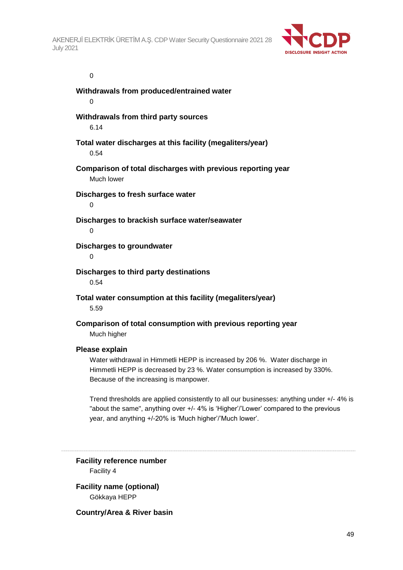

#### 0

**Withdrawals from produced/entrained water** 0 **Withdrawals from third party sources** 6.14 **Total water discharges at this facility (megaliters/year)** 0.54 **Comparison of total discharges with previous reporting year** Much lower **Discharges to fresh surface water**  $\Omega$ **Discharges to brackish surface water/seawater**  $\Omega$ **Discharges to groundwater** 0 **Discharges to third party destinations** 0.54 **Total water consumption at this facility (megaliters/year)** 5.59 **Comparison of total consumption with previous reporting year** Much higher **Please explain** Water withdrawal in Himmetli HEPP is increased by 206 %. Water discharge in Himmetli HEPP is decreased by 23 %. Water consumption is increased by 330%. Because of the increasing is manpower.

Trend thresholds are applied consistently to all our businesses: anything under +/- 4% is "about the same", anything over +/- 4% is 'Higher'/'Lower' compared to the previous year, and anything +/-20% is 'Much higher'/'Much lower'.

**Facility reference number** Facility 4

**Facility name (optional)** Gökkaya HEPP

**Country/Area & River basin**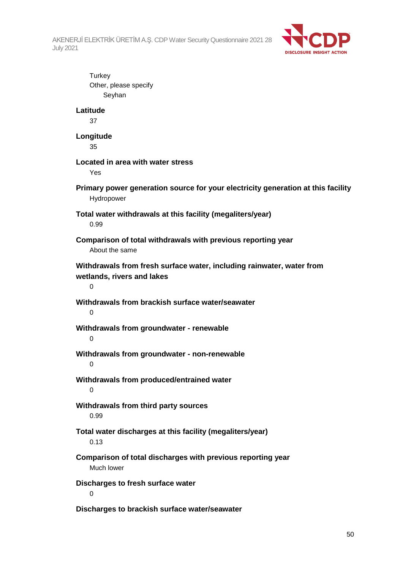

**Turkey** Other, please specify Seyhan **Latitude** 37 **Longitude** 35 **Located in area with water stress** Yes **Primary power generation source for your electricity generation at this facility** Hydropower **Total water withdrawals at this facility (megaliters/year)** 0.99 **Comparison of total withdrawals with previous reporting year** About the same **Withdrawals from fresh surface water, including rainwater, water from wetlands, rivers and lakes**  $\Omega$ **Withdrawals from brackish surface water/seawater**  $\Omega$ **Withdrawals from groundwater - renewable**  $\Omega$ **Withdrawals from groundwater - non-renewable**  $\Omega$ **Withdrawals from produced/entrained water**  $\Omega$ **Withdrawals from third party sources** 0.99 **Total water discharges at this facility (megaliters/year)** 0.13 **Comparison of total discharges with previous reporting year** Much lower **Discharges to fresh surface water** 0 **Discharges to brackish surface water/seawater**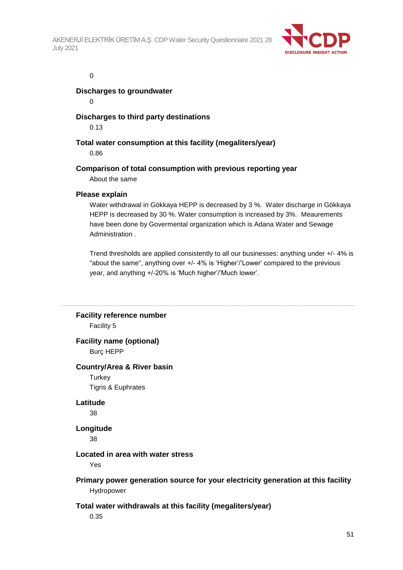

#### 0

**Discharges to groundwater**

 $\Omega$ 

## **Discharges to third party destinations**

0.13

**Total water consumption at this facility (megaliters/year)** 0.86

**Comparison of total consumption with previous reporting year**

About the same

### **Please explain**

Water withdrawal in Gökkaya HEPP is decreased by 3 %. Water discharge in Gökkaya HEPP is decreased by 30 %. Water consumption is increased by 3%. Meaurements have been done by Govermental organization which is Adana Water and Sewage Administration .

Trend thresholds are applied consistently to all our businesses: anything under +/- 4% is "about the same", anything over +/- 4% is 'Higher'/'Lower' compared to the previous year, and anything +/-20% is 'Much higher'/'Much lower'.

# **Facility reference number**

Facility 5

# **Facility name (optional)**

Burç HEPP

### **Country/Area & River basin**

**Turkey** Tigris & Euphrates

# **Latitude**

38

## **Longitude**

38

### **Located in area with water stress**

Yes

## **Primary power generation source for your electricity generation at this facility** Hydropower

### **Total water withdrawals at this facility (megaliters/year)**

0.35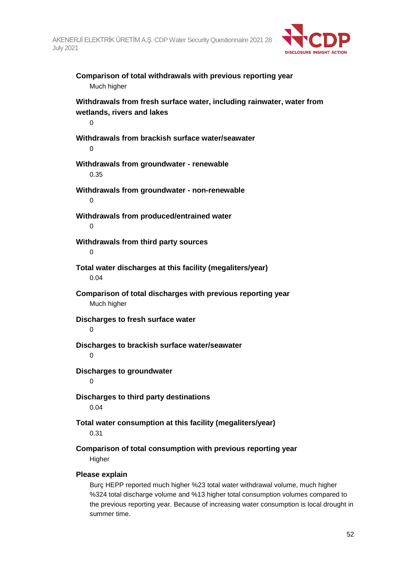

| Comparison of total withdrawals with previous reporting year<br>Much higher                              |
|----------------------------------------------------------------------------------------------------------|
| Withdrawals from fresh surface water, including rainwater, water from<br>wetlands, rivers and lakes<br>0 |
| Withdrawals from brackish surface water/seawater<br>0                                                    |
| Withdrawals from groundwater - renewable<br>0.35                                                         |
| Withdrawals from groundwater - non-renewable<br>0                                                        |
| Withdrawals from produced/entrained water<br>0                                                           |
| Withdrawals from third party sources<br>0                                                                |
| Total water discharges at this facility (megaliters/year)<br>0.04                                        |
| Comparison of total discharges with previous reporting year<br>Much higher                               |
| Discharges to fresh surface water<br>0                                                                   |
| Discharges to brackish surface water/seawater<br>0                                                       |
| <b>Discharges to groundwater</b><br>0                                                                    |
| Discharges to third party destinations<br>0.04                                                           |
| Total water consumption at this facility (megaliters/year)<br>0.31                                       |
| Comparison of total consumption with previous reporting year<br>Higher                                   |
| Please explain<br>Burg HEDD reported much bigher %23 total water withdrawal volume much bigher           |

Burç HEPP reported much higher %23 total water withdrawal volume, much higher %324 total discharge volume and %13 higher total consumption volumes compared to the previous reporting year. Because of increasing water consumption is local drought in summer time.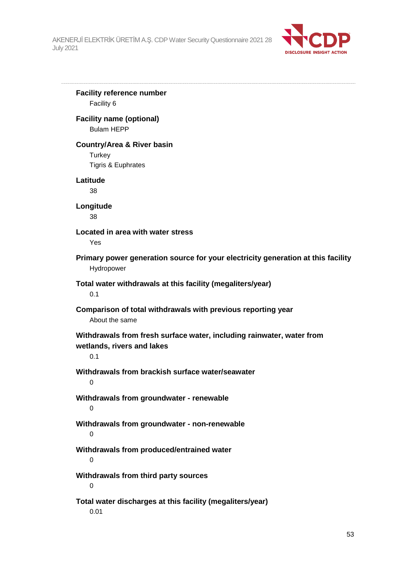

**Facility reference number** Facility 6 **Facility name (optional)** Bulam HEPP **Country/Area & River basin Turkey** Tigris & Euphrates **Latitude** 38 **Longitude** 38 **Located in area with water stress** Yes **Primary power generation source for your electricity generation at this facility** Hydropower **Total water withdrawals at this facility (megaliters/year)** 0.1 **Comparison of total withdrawals with previous reporting year** About the same **Withdrawals from fresh surface water, including rainwater, water from wetlands, rivers and lakes** 0.1 **Withdrawals from brackish surface water/seawater** 0 **Withdrawals from groundwater - renewable**  $\Omega$ **Withdrawals from groundwater - non-renewable** 0 **Withdrawals from produced/entrained water** 0 **Withdrawals from third party sources** 0 **Total water discharges at this facility (megaliters/year)** 0.01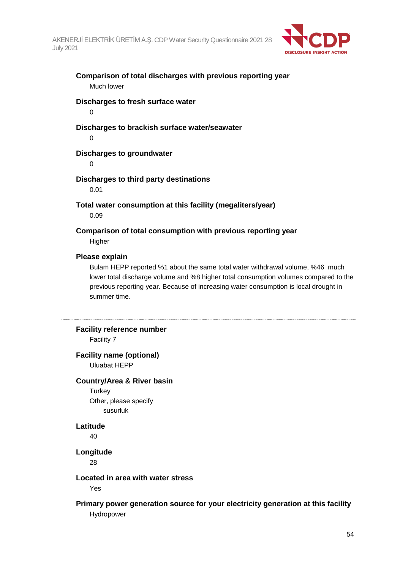

## **Comparison of total discharges with previous reporting year** Much lower

# **Discharges to fresh surface water**

0

## **Discharges to brackish surface water/seawater**

0

### **Discharges to groundwater**

 $\Omega$ 

## **Discharges to third party destinations**

0.01

**Total water consumption at this facility (megaliters/year)** 0.09

**Comparison of total consumption with previous reporting year Higher** 

#### **Please explain**

Bulam HEPP reported %1 about the same total water withdrawal volume, %46 much lower total discharge volume and %8 higher total consumption volumes compared to the previous reporting year. Because of increasing water consumption is local drought in summer time.

### **Facility reference number**

Facility 7

#### **Facility name (optional)** Uluabat HEPP

### **Country/Area & River basin**

**Turkey** Other, please specify susurluk

### **Latitude**

40

#### **Longitude**

28

### **Located in area with water stress**

Yes

### **Primary power generation source for your electricity generation at this facility** Hydropower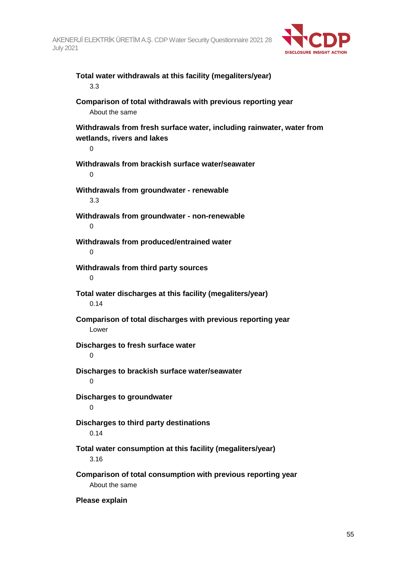

# **Total water withdrawals at this facility (megaliters/year)** 3.3

**Comparison of total withdrawals with previous reporting year** About the same

**Withdrawals from fresh surface water, including rainwater, water from wetlands, rivers and lakes**

 $\Omega$ **Withdrawals from brackish surface water/seawater** 0 **Withdrawals from groundwater - renewable** 3.3 **Withdrawals from groundwater - non-renewable**  $\Omega$ **Withdrawals from produced/entrained water**  $\Omega$ **Withdrawals from third party sources**  $\Omega$ **Total water discharges at this facility (megaliters/year)** 0.14 **Comparison of total discharges with previous reporting year** Lower **Discharges to fresh surface water**  $\Omega$ **Discharges to brackish surface water/seawater** 0 **Discharges to groundwater**  $\Omega$ **Discharges to third party destinations** 0.14 **Total water consumption at this facility (megaliters/year)** 3.16 **Comparison of total consumption with previous reporting year** About the same

**Please explain**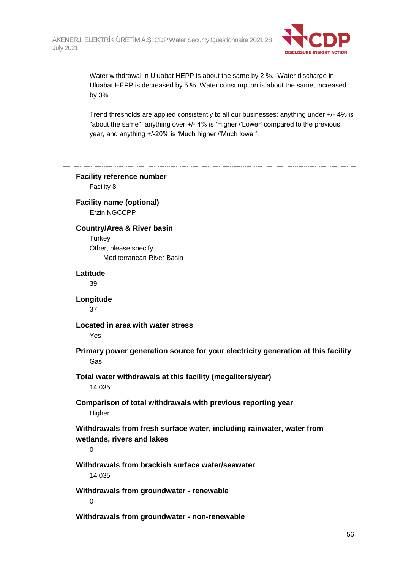

Water withdrawal in Uluabat HEPP is about the same by 2 %. Water discharge in Uluabat HEPP is decreased by 5 %. Water consumption is about the same, increased by 3%.

Trend thresholds are applied consistently to all our businesses: anything under +/- 4% is "about the same", anything over +/- 4% is 'Higher'/'Lower' compared to the previous year, and anything +/-20% is 'Much higher'/'Much lower'.

**Facility reference number** Facility 8 **Facility name (optional)** Erzin NGCCPP **Country/Area & River basin Turkey** Other, please specify Mediterranean River Basin **Latitude** 39 **Longitude** 37 **Located in area with water stress** Yes **Primary power generation source for your electricity generation at this facility** Gas **Total water withdrawals at this facility (megaliters/year)** 14,035 **Comparison of total withdrawals with previous reporting year Higher Withdrawals from fresh surface water, including rainwater, water from wetlands, rivers and lakes**  $\Omega$ **Withdrawals from brackish surface water/seawater** 14,035 **Withdrawals from groundwater - renewable**  $\Omega$ 

**Withdrawals from groundwater - non-renewable**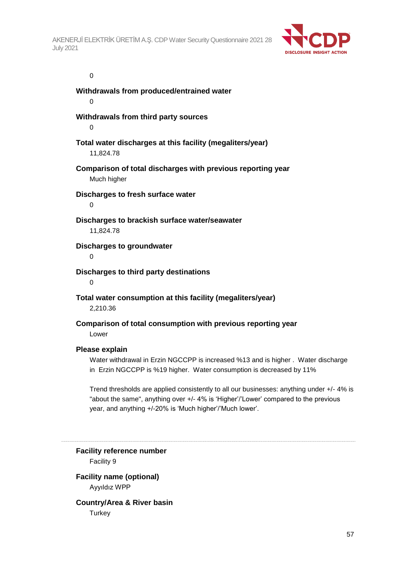

#### 0

**Withdrawals from produced/entrained water** 0 **Withdrawals from third party sources**  $\Omega$ **Total water discharges at this facility (megaliters/year)** 11,824.78 **Comparison of total discharges with previous reporting year** Much higher **Discharges to fresh surface water**  $\Omega$ **Discharges to brackish surface water/seawater** 11,824.78 **Discharges to groundwater** 0 **Discharges to third party destinations**  $\Omega$ **Total water consumption at this facility (megaliters/year)** 2,210.36 **Comparison of total consumption with previous reporting year** Lower

#### **Please explain**

Water withdrawal in Erzin NGCCPP is increased %13 and is higher . Water discharge in Erzin NGCCPP is %19 higher. Water consumption is decreased by 11%

Trend thresholds are applied consistently to all our businesses: anything under +/- 4% is "about the same", anything over +/- 4% is 'Higher'/'Lower' compared to the previous year, and anything +/-20% is 'Much higher'/'Much lower'.

**Facility reference number** Facility 9

**Facility name (optional)** Ayyıldız WPP

**Country/Area & River basin Turkey**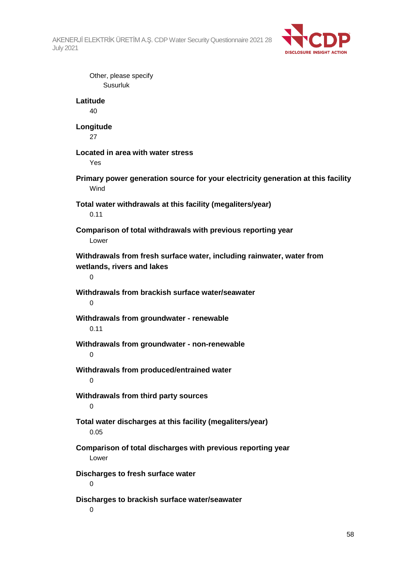

Other, please specify Susurluk **Latitude** 40 **Longitude** 27 **Located in area with water stress** Yes **Primary power generation source for your electricity generation at this facility** Wind **Total water withdrawals at this facility (megaliters/year)** 0.11 **Comparison of total withdrawals with previous reporting year** Lower **Withdrawals from fresh surface water, including rainwater, water from wetlands, rivers and lakes**  $\Omega$ **Withdrawals from brackish surface water/seawater**  $\Omega$ **Withdrawals from groundwater - renewable** 0.11 **Withdrawals from groundwater - non-renewable**  $\Omega$ **Withdrawals from produced/entrained water** 0 **Withdrawals from third party sources**  $\Omega$ **Total water discharges at this facility (megaliters/year)** 0.05 **Comparison of total discharges with previous reporting year** Lower **Discharges to fresh surface water**  $\Omega$ **Discharges to brackish surface water/seawater**

 $\Omega$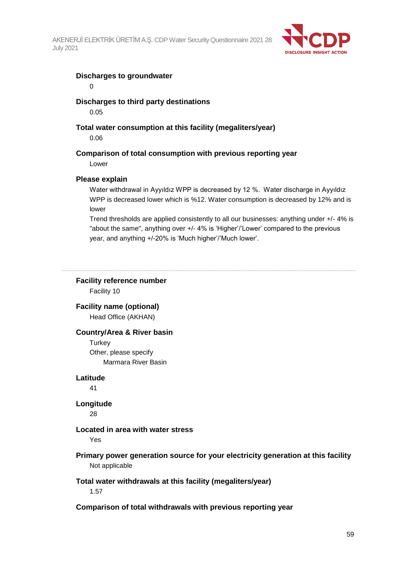

#### **Discharges to groundwater**

0

### **Discharges to third party destinations**

0.05

### **Total water consumption at this facility (megaliters/year)**

0.06

## **Comparison of total consumption with previous reporting year**

Lower

### **Please explain**

Water withdrawal in Ayyıldız WPP is decreased by 12 %. Water discharge in Ayyıldız WPP is decreased lower which is %12. Water consumption is decreased by 12% and is lower

Trend thresholds are applied consistently to all our businesses: anything under +/- 4% is "about the same", anything over +/- 4% is 'Higher'/'Lower' compared to the previous year, and anything +/-20% is 'Much higher'/'Much lower'.

## **Facility reference number**

Facility 10

**Facility name (optional)** Head Office (AKHAN)

## **Country/Area & River basin**

**Turkey** Other, please specify Marmara River Basin

#### **Latitude**

41

### **Longitude**

28

### **Located in area with water stress**

Yes

## **Primary power generation source for your electricity generation at this facility** Not applicable

### **Total water withdrawals at this facility (megaliters/year)**

1.57

### **Comparison of total withdrawals with previous reporting year**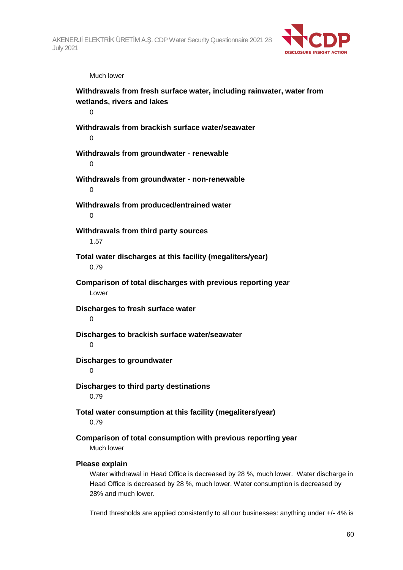

Much lower

**Withdrawals from fresh surface water, including rainwater, water from wetlands, rivers and lakes**  $\Omega$ **Withdrawals from brackish surface water/seawater**  $\Omega$ **Withdrawals from groundwater - renewable**  $\Omega$ **Withdrawals from groundwater - non-renewable**  $\Omega$ **Withdrawals from produced/entrained water**  $\Omega$ **Withdrawals from third party sources** 1.57 **Total water discharges at this facility (megaliters/year)** 0.79 **Comparison of total discharges with previous reporting year** Lower **Discharges to fresh surface water**  $\Omega$ **Discharges to brackish surface water/seawater** 0 **Discharges to groundwater**  $\Omega$ **Discharges to third party destinations** 0.79 **Total water consumption at this facility (megaliters/year)** 0.79 **Comparison of total consumption with previous reporting year** Much lower **Please explain** Water withdrawal in Head Office is decreased by 28 %, much lower. Water discharge in Head Office is decreased by 28 %, much lower. Water consumption is decreased by

28% and much lower.

Trend thresholds are applied consistently to all our businesses: anything under +/- 4% is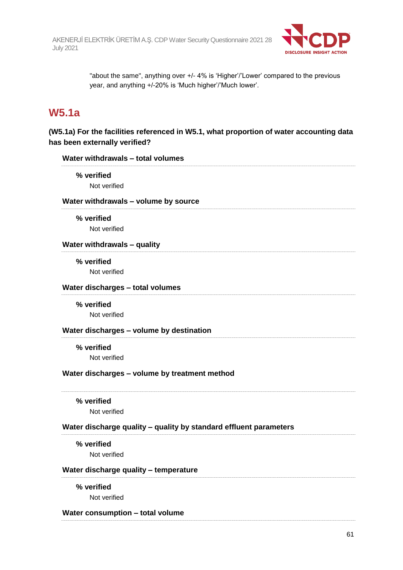

"about the same", anything over +/- 4% is 'Higher'/'Lower' compared to the previous year, and anything +/-20% is 'Much higher'/'Much lower'.

# **W5.1a**

**(W5.1a) For the facilities referenced in W5.1, what proportion of water accounting data has been externally verified?**

| Water withdrawals - total volumes                                 |  |
|-------------------------------------------------------------------|--|
| % verified                                                        |  |
| Not verified                                                      |  |
| Water withdrawals - volume by source                              |  |
| % verified                                                        |  |
| Not verified                                                      |  |
| Water withdrawals - quality                                       |  |
| % verified                                                        |  |
| Not verified                                                      |  |
| Water discharges - total volumes                                  |  |
| % verified                                                        |  |
| Not verified                                                      |  |
| Water discharges - volume by destination                          |  |
| % verified                                                        |  |
| Not verified                                                      |  |
| Water discharges - volume by treatment method                     |  |
| % verified                                                        |  |
| Not verified                                                      |  |
| Water discharge quality - quality by standard effluent parameters |  |
| % verified                                                        |  |
| Not verified                                                      |  |
| Water discharge quality - temperature                             |  |
| % verified                                                        |  |
| Not verified                                                      |  |
| Water consumption - total volume                                  |  |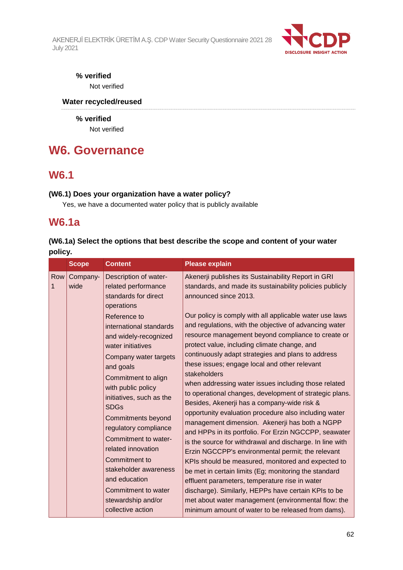

# **% verified**

Not verified

# **Water recycled/reused**

**% verified** Not verified

# **W6. Governance**

# **W6.1**

## **(W6.1) Does your organization have a water policy?**

Yes, we have a documented water policy that is publicly available

# **W6.1a**

# **(W6.1a) Select the options that best describe the scope and content of your water policy.**

|          | <b>Scope</b>     | <b>Content</b>                                                                                                                                                                                                                                                                                                                                                                                                                                                                                                                      | <b>Please explain</b>                                                                                                                                                                                                                                                                                                                                                                                                                                                                                                                                                                                                                                                                                                                                                                                                                                                                                                                                                                                                                                                                                                                                                                                                                                                                   |
|----------|------------------|-------------------------------------------------------------------------------------------------------------------------------------------------------------------------------------------------------------------------------------------------------------------------------------------------------------------------------------------------------------------------------------------------------------------------------------------------------------------------------------------------------------------------------------|-----------------------------------------------------------------------------------------------------------------------------------------------------------------------------------------------------------------------------------------------------------------------------------------------------------------------------------------------------------------------------------------------------------------------------------------------------------------------------------------------------------------------------------------------------------------------------------------------------------------------------------------------------------------------------------------------------------------------------------------------------------------------------------------------------------------------------------------------------------------------------------------------------------------------------------------------------------------------------------------------------------------------------------------------------------------------------------------------------------------------------------------------------------------------------------------------------------------------------------------------------------------------------------------|
| Row<br>1 | Company-<br>wide | Description of water-<br>related performance<br>standards for direct<br>operations<br>Reference to<br>international standards<br>and widely-recognized<br>water initiatives<br>Company water targets<br>and goals<br>Commitment to align<br>with public policy<br>initiatives, such as the<br><b>SDGs</b><br>Commitments beyond<br>regulatory compliance<br>Commitment to water-<br>related innovation<br>Commitment to<br>stakeholder awareness<br>and education<br>Commitment to water<br>stewardship and/or<br>collective action | Akenerji publishes its Sustainability Report in GRI<br>standards, and made its sustainability policies publicly<br>announced since 2013.<br>Our policy is comply with all applicable water use laws<br>and regulations, with the objective of advancing water<br>resource management beyond compliance to create or<br>protect value, including climate change, and<br>continuously adapt strategies and plans to address<br>these issues; engage local and other relevant<br>stakeholders<br>when addressing water issues including those related<br>to operational changes, development of strategic plans.<br>Besides, Akenerji has a company-wide risk &<br>opportunity evaluation procedure also including water<br>management dimension. Akenerji has both a NGPP<br>and HPPs in its portfolio. For Erzin NGCCPP, seawater<br>is the source for withdrawal and discharge. In line with<br>Erzin NGCCPP's environmental permit; the relevant<br>KPIs should be measured, monitored and expected to<br>be met in certain limits (Eg; monitoring the standard<br>effluent parameters, temperature rise in water<br>discharge). Similarly, HEPPs have certain KPIs to be<br>met about water management (environmental flow: the<br>minimum amount of water to be released from dams). |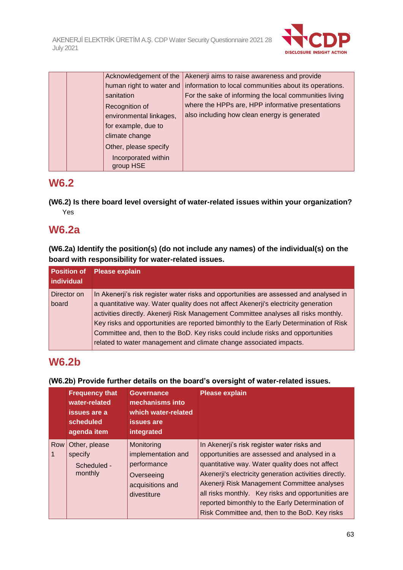

|  |                                  | Acknowledgement of the   Akenerji aims to raise awareness and provide             |
|--|----------------------------------|-----------------------------------------------------------------------------------|
|  |                                  | human right to water and   information to local communities about its operations. |
|  | sanitation                       | For the sake of informing the local communities living                            |
|  | Recognition of                   | where the HPPs are, HPP informative presentations                                 |
|  | environmental linkages,          | also including how clean energy is generated                                      |
|  | for example, due to              |                                                                                   |
|  | climate change                   |                                                                                   |
|  | Other, please specify            |                                                                                   |
|  | Incorporated within<br>group HSE |                                                                                   |

# **W6.2**

**(W6.2) Is there board level oversight of water-related issues within your organization?** Yes

# **W6.2a**

**(W6.2a) Identify the position(s) (do not include any names) of the individual(s) on the board with responsibility for water-related issues.**

| individual           | <b>Position of Please explain</b>                                                                                                                                                                                                                                                                                                                                                                                                                                                                                      |
|----------------------|------------------------------------------------------------------------------------------------------------------------------------------------------------------------------------------------------------------------------------------------------------------------------------------------------------------------------------------------------------------------------------------------------------------------------------------------------------------------------------------------------------------------|
| Director on<br>board | In Akenerji's risk register water risks and opportunities are assessed and analysed in<br>a quantitative way. Water quality does not affect Akenerji's electricity generation<br>activities directly. Akenerji Risk Management Committee analyses all risks monthly.<br>Key risks and opportunities are reported bimonthly to the Early Determination of Risk<br>Committee and, then to the BoD. Key risks could include risks and opportunities<br>related to water management and climate change associated impacts. |

# **W6.2b**

# **(W6.2b) Provide further details on the board's oversight of water-related issues.**

|     | <b>Frequency that</b><br>water-related<br>issues are a<br>scheduled<br>agenda item | <b>Governance</b><br>mechanisms into<br>which water-related<br>issues are<br>integrated          | <b>Please explain</b>                                                                                                                                                                                                                                                                                                                                                                                               |
|-----|------------------------------------------------------------------------------------|--------------------------------------------------------------------------------------------------|---------------------------------------------------------------------------------------------------------------------------------------------------------------------------------------------------------------------------------------------------------------------------------------------------------------------------------------------------------------------------------------------------------------------|
| Row | Other, please<br>specify<br>Scheduled -<br>monthly                                 | Monitoring<br>implementation and<br>performance<br>Overseeing<br>acquisitions and<br>divestiture | In Akenerji's risk register water risks and<br>opportunities are assessed and analysed in a<br>quantitative way. Water quality does not affect<br>Akenerji's electricity generation activities directly.<br>Akenerji Risk Management Committee analyses<br>all risks monthly. Key risks and opportunities are<br>reported bimonthly to the Early Determination of<br>Risk Committee and, then to the BoD. Key risks |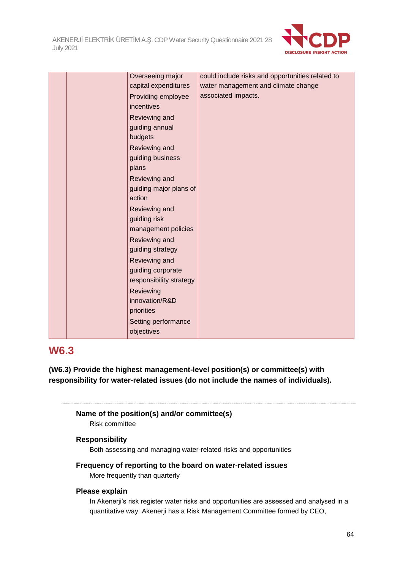

|  | Overseeing major        | could include risks and opportunities related to |
|--|-------------------------|--------------------------------------------------|
|  | capital expenditures    | water management and climate change              |
|  | Providing employee      | associated impacts.                              |
|  | incentives              |                                                  |
|  | Reviewing and           |                                                  |
|  | guiding annual          |                                                  |
|  | budgets                 |                                                  |
|  | Reviewing and           |                                                  |
|  | guiding business        |                                                  |
|  | plans                   |                                                  |
|  | Reviewing and           |                                                  |
|  | guiding major plans of  |                                                  |
|  | action                  |                                                  |
|  | Reviewing and           |                                                  |
|  | guiding risk            |                                                  |
|  | management policies     |                                                  |
|  | Reviewing and           |                                                  |
|  | guiding strategy        |                                                  |
|  | Reviewing and           |                                                  |
|  | guiding corporate       |                                                  |
|  | responsibility strategy |                                                  |
|  | Reviewing               |                                                  |
|  | innovation/R&D          |                                                  |
|  | priorities              |                                                  |
|  | Setting performance     |                                                  |
|  | objectives              |                                                  |

# **W6.3**

**(W6.3) Provide the highest management-level position(s) or committee(s) with responsibility for water-related issues (do not include the names of individuals).**

### **Name of the position(s) and/or committee(s)**

Risk committee

### **Responsibility**

Both assessing and managing water-related risks and opportunities

### **Frequency of reporting to the board on water-related issues**

More frequently than quarterly

### **Please explain**

In Akenerji's risk register water risks and opportunities are assessed and analysed in a quantitative way. Akenerji has a Risk Management Committee formed by CEO,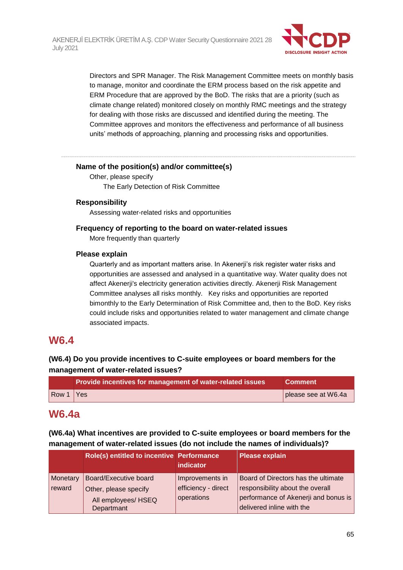

Directors and SPR Manager. The Risk Management Committee meets on monthly basis to manage, monitor and coordinate the ERM process based on the risk appetite and ERM Procedure that are approved by the BoD. The risks that are a priority (such as climate change related) monitored closely on monthly RMC meetings and the strategy for dealing with those risks are discussed and identified during the meeting. The Committee approves and monitors the effectiveness and performance of all business units' methods of approaching, planning and processing risks and opportunities.

#### **Name of the position(s) and/or committee(s)**

Other, please specify The Early Detection of Risk Committee

### **Responsibility**

Assessing water-related risks and opportunities

### **Frequency of reporting to the board on water-related issues**

More frequently than quarterly

### **Please explain**

Quarterly and as important matters arise. In Akenerji's risk register water risks and opportunities are assessed and analysed in a quantitative way. Water quality does not affect Akenerji's electricity generation activities directly. Akenerji Risk Management Committee analyses all risks monthly. Key risks and opportunities are reported bimonthly to the Early Determination of Risk Committee and, then to the BoD. Key risks could include risks and opportunities related to water management and climate change associated impacts.

# **W6.4**

# **(W6.4) Do you provide incentives to C-suite employees or board members for the management of water-related issues?**

|                                             | Provide incentives for management of water-related issues | <b>Comment</b>      |
|---------------------------------------------|-----------------------------------------------------------|---------------------|
| $\sqrt{\frac{80}{1}}$ $\sqrt{\frac{40}{1}}$ |                                                           | please see at W6.4a |

# **W6.4a**

**(W6.4a) What incentives are provided to C-suite employees or board members for the management of water-related issues (do not include the names of individuals)?**

|                    | Role(s) entitled to incentive Performance                                           | <b>indicator</b>                                     | <b>Please explain</b>                                                                                                                        |
|--------------------|-------------------------------------------------------------------------------------|------------------------------------------------------|----------------------------------------------------------------------------------------------------------------------------------------------|
| Monetary<br>reward | Board/Executive board<br>Other, please specify<br>All employees/ HSEQ<br>Departmant | Improvements in<br>efficiency - direct<br>operations | Board of Directors has the ultimate<br>responsibility about the overall<br>performance of Akenerji and bonus is<br>delivered inline with the |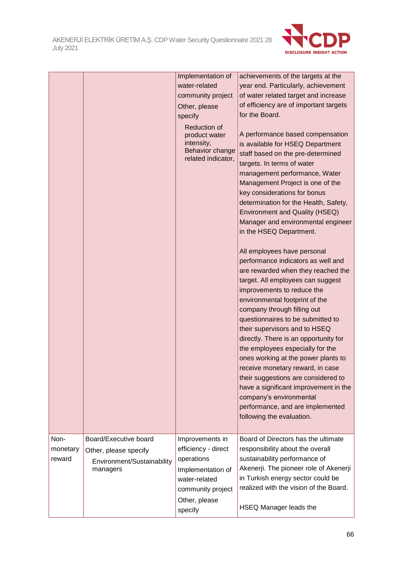

|          |                            | Implementation of                                                                           | achievements of the targets at the                                                                                                                                                                                                                                                                                                                                                                                             |
|----------|----------------------------|---------------------------------------------------------------------------------------------|--------------------------------------------------------------------------------------------------------------------------------------------------------------------------------------------------------------------------------------------------------------------------------------------------------------------------------------------------------------------------------------------------------------------------------|
|          |                            | water-related                                                                               | year end. Particularly, achievement                                                                                                                                                                                                                                                                                                                                                                                            |
|          |                            | community project                                                                           | of water related target and increase                                                                                                                                                                                                                                                                                                                                                                                           |
|          |                            | Other, please                                                                               | of efficiency are of important targets                                                                                                                                                                                                                                                                                                                                                                                         |
|          |                            | specify                                                                                     | for the Board.                                                                                                                                                                                                                                                                                                                                                                                                                 |
|          |                            | <b>Reduction of</b><br>product water<br>intensity,<br>Behavior change<br>related indicator, | A performance based compensation<br>is available for HSEQ Department<br>staff based on the pre-determined<br>targets. In terms of water<br>management performance, Water<br>Management Project is one of the<br>key considerations for bonus<br>determination for the Health, Safety,<br><b>Environment and Quality (HSEQ)</b><br>Manager and environmental engineer<br>in the HSEQ Department.<br>All employees have personal |
|          |                            |                                                                                             | performance indicators as well and<br>are rewarded when they reached the<br>target. All employees can suggest<br>improvements to reduce the                                                                                                                                                                                                                                                                                    |
|          |                            |                                                                                             | environmental footprint of the<br>company through filling out                                                                                                                                                                                                                                                                                                                                                                  |
|          |                            |                                                                                             | questionnaires to be submitted to<br>their supervisors and to HSEQ<br>directly. There is an opportunity for<br>the employees especially for the                                                                                                                                                                                                                                                                                |
|          |                            |                                                                                             | ones working at the power plants to<br>receive monetary reward, in case<br>their suggestions are considered to<br>have a significant improvement in the                                                                                                                                                                                                                                                                        |
|          |                            |                                                                                             | company's environmental<br>performance, and are implemented<br>following the evaluation.                                                                                                                                                                                                                                                                                                                                       |
|          |                            |                                                                                             |                                                                                                                                                                                                                                                                                                                                                                                                                                |
| Non-     | Board/Executive board      | Improvements in                                                                             | Board of Directors has the ultimate                                                                                                                                                                                                                                                                                                                                                                                            |
| monetary | Other, please specify      | efficiency - direct                                                                         | responsibility about the overall                                                                                                                                                                                                                                                                                                                                                                                               |
| reward   | Environment/Sustainability | operations                                                                                  | sustainability performance of                                                                                                                                                                                                                                                                                                                                                                                                  |
|          | managers                   | Implementation of                                                                           | Akenerji. The pioneer role of Akenerji                                                                                                                                                                                                                                                                                                                                                                                         |
|          |                            | water-related                                                                               | in Turkish energy sector could be                                                                                                                                                                                                                                                                                                                                                                                              |
|          |                            | community project                                                                           | realized with the vision of the Board.                                                                                                                                                                                                                                                                                                                                                                                         |
|          |                            | Other, please<br>specify                                                                    | HSEQ Manager leads the                                                                                                                                                                                                                                                                                                                                                                                                         |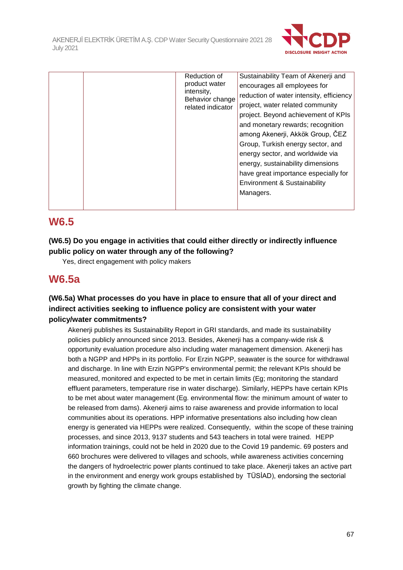

| Reduction of<br>product water<br>intensity,<br>Behavior change<br>related indicator | Sustainability Team of Akenerji and<br>encourages all employees for<br>reduction of water intensity, efficiency<br>project, water related community<br>project. Beyond achievement of KPIs<br>and monetary rewards; recognition<br>among Akenerji, Akkök Group, ČEZ<br>Group, Turkish energy sector, and<br>energy sector, and worldwide via<br>energy, sustainability dimensions<br>have great importance especially for<br>Environment & Sustainability<br>Managers. |
|-------------------------------------------------------------------------------------|------------------------------------------------------------------------------------------------------------------------------------------------------------------------------------------------------------------------------------------------------------------------------------------------------------------------------------------------------------------------------------------------------------------------------------------------------------------------|
|-------------------------------------------------------------------------------------|------------------------------------------------------------------------------------------------------------------------------------------------------------------------------------------------------------------------------------------------------------------------------------------------------------------------------------------------------------------------------------------------------------------------------------------------------------------------|

# **W6.5**

# **(W6.5) Do you engage in activities that could either directly or indirectly influence public policy on water through any of the following?**

Yes, direct engagement with policy makers

# **W6.5a**

## **(W6.5a) What processes do you have in place to ensure that all of your direct and indirect activities seeking to influence policy are consistent with your water policy/water commitments?**

Akenerji publishes its Sustainability Report in GRI standards, and made its sustainability policies publicly announced since 2013. Besides, Akenerji has a company-wide risk & opportunity evaluation procedure also including water management dimension. Akenerji has both a NGPP and HPPs in its portfolio. For Erzin NGPP, seawater is the source for withdrawal and discharge. In line with Erzin NGPP's environmental permit; the relevant KPIs should be measured, monitored and expected to be met in certain limits (Eg; monitoring the standard effluent parameters, temperature rise in water discharge). Similarly, HEPPs have certain KPIs to be met about water management (Eg. environmental flow: the minimum amount of water to be released from dams). Akenerji aims to raise awareness and provide information to local communities about its operations. HPP informative presentations also including how clean energy is generated via HEPPs were realized. Consequently, within the scope of these training processes, and since 2013, 9137 students and 543 teachers in total were trained. HEPP information trainings, could not be held in 2020 due to the Covid 19 pandemic. 69 posters and 660 brochures were delivered to villages and schools, while awareness activities concerning the dangers of hydroelectric power plants continued to take place. Akenerji takes an active part in the environment and energy work groups established by TÜSİAD), endorsing the sectorial growth by fighting the climate change.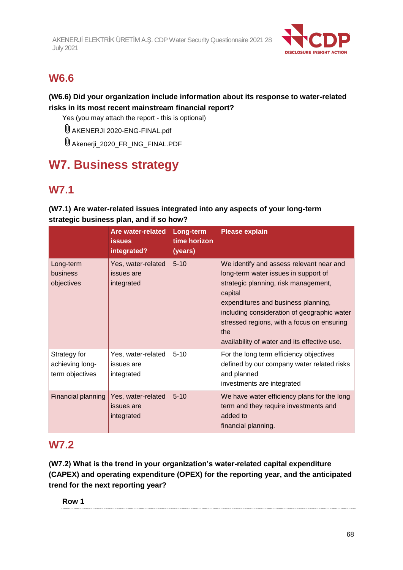

# **W6.6**

# **(W6.6) Did your organization include information about its response to water-related risks in its most recent mainstream financial report?**

Yes (you may attach the report - this is optional)

AKENERJI 2020-ENG-FINAL.pdf

Akenerji\_2020\_FR\_ING\_FINAL.PDF

# **W7. Business strategy**

# **W7.1**

# **(W7.1) Are water-related issues integrated into any aspects of your long-term strategic business plan, and if so how?**

|                                                    | <b>Are water-related</b><br><b>issues</b><br>integrated? | Long-term<br>time horizon<br>(years) | <b>Please explain</b>                                                                                                                                                                                                                                                                                                          |
|----------------------------------------------------|----------------------------------------------------------|--------------------------------------|--------------------------------------------------------------------------------------------------------------------------------------------------------------------------------------------------------------------------------------------------------------------------------------------------------------------------------|
| Long-term<br>business<br>objectives                | Yes, water-related<br>issues are<br>integrated           | $5 - 10$                             | We identify and assess relevant near and<br>long-term water issues in support of<br>strategic planning, risk management,<br>capital<br>expenditures and business planning,<br>including consideration of geographic water<br>stressed regions, with a focus on ensuring<br>the<br>availability of water and its effective use. |
| Strategy for<br>achieving long-<br>term objectives | Yes, water-related<br>issues are<br>integrated           | $5 - 10$                             | For the long term efficiency objectives<br>defined by our company water related risks<br>and planned<br>investments are integrated                                                                                                                                                                                             |
| Financial planning                                 | Yes, water-related<br>issues are<br>integrated           | $5 - 10$                             | We have water efficiency plans for the long<br>term and they require investments and<br>added to<br>financial planning.                                                                                                                                                                                                        |

# **W7.2**

**(W7.2) What is the trend in your organization's water-related capital expenditure (CAPEX) and operating expenditure (OPEX) for the reporting year, and the anticipated trend for the next reporting year?**

**Row 1**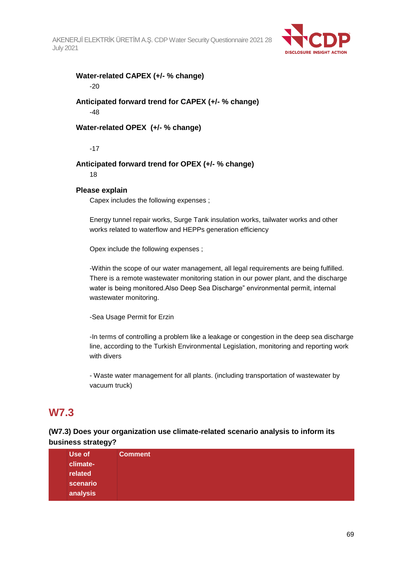

# **Water-related CAPEX (+/- % change)**

-20

## **Anticipated forward trend for CAPEX (+/- % change)** -48

### **Water-related OPEX (+/- % change)**

-17

## **Anticipated forward trend for OPEX (+/- % change)**

18

### **Please explain**

Capex includes the following expenses ;

Energy tunnel repair works, Surge Tank insulation works, tailwater works and other works related to waterflow and HEPPs generation efficiency

Opex include the following expenses ;

-Within the scope of our water management, all legal requirements are being fulfilled. There is a remote wastewater monitoring station in our power plant, and the discharge water is being monitored.Also Deep Sea Discharge" environmental permit, internal wastewater monitoring.

-Sea Usage Permit for Erzin

-In terms of controlling a problem like a leakage or congestion in the deep sea discharge line, according to the Turkish Environmental Legislation, monitoring and reporting work with divers

- Waste water management for all plants. (including transportation of wastewater by vacuum truck)

# **W7.3**

## **(W7.3) Does your organization use climate-related scenario analysis to inform its business strategy?**

| Use of   | <b>Comment</b> |
|----------|----------------|
| climate- |                |
| related  |                |
| scenario |                |
| analysis |                |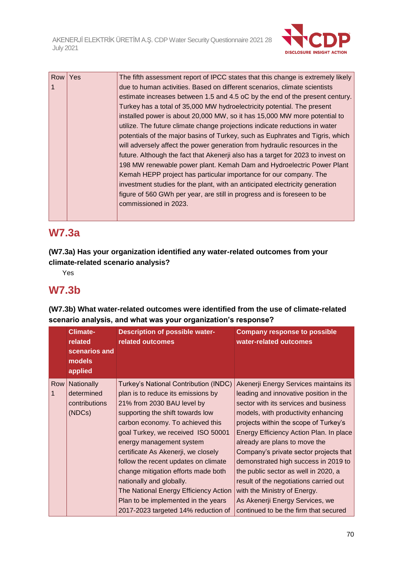

| Row | Yes | The fifth assessment report of IPCC states that this change is extremely likely |
|-----|-----|---------------------------------------------------------------------------------|
|     |     | due to human activities. Based on different scenarios, climate scientists       |
|     |     | estimate increases between 1.5 and 4.5 oC by the end of the present century.    |
|     |     | Turkey has a total of 35,000 MW hydroelectricity potential. The present         |
|     |     | installed power is about 20,000 MW, so it has 15,000 MW more potential to       |
|     |     | utilize. The future climate change projections indicate reductions in water     |
|     |     | potentials of the major basins of Turkey, such as Euphrates and Tigris, which   |
|     |     | will adversely affect the power generation from hydraulic resources in the      |
|     |     | future. Although the fact that Akenerji also has a target for 2023 to invest on |
|     |     | 198 MW renewable power plant. Kemah Dam and Hydroelectric Power Plant           |
|     |     | Kemah HEPP project has particular importance for our company. The               |
|     |     | investment studies for the plant, with an anticipated electricity generation    |
|     |     | figure of 560 GWh per year, are still in progress and is foreseen to be         |
|     |     | commissioned in 2023.                                                           |
|     |     |                                                                                 |

# **W7.3a**

**(W7.3a) Has your organization identified any water-related outcomes from your climate-related scenario analysis?**

Yes

# **W7.3b**

**(W7.3b) What water-related outcomes were identified from the use of climate-related scenario analysis, and what was your organization's response?**

|     | <b>Climate-</b><br>related<br>scenarios and<br>models<br>applied | <b>Description of possible water-</b><br>related outcomes | <b>Company response to possible</b><br>water-related outcomes |
|-----|------------------------------------------------------------------|-----------------------------------------------------------|---------------------------------------------------------------|
| Row | Nationally                                                       | Turkey's National Contribution (INDC)                     | Akenerji Energy Services maintains its                        |
| 1   | determined                                                       | plan is to reduce its emissions by                        | leading and innovative position in the                        |
|     | contributions                                                    | 21% from 2030 BAU level by                                | sector with its services and business                         |
|     | (NDCs)                                                           | supporting the shift towards low                          | models, with productivity enhancing                           |
|     |                                                                  | carbon economy. To achieved this                          | projects within the scope of Turkey's                         |
|     |                                                                  | goal Turkey, we received ISO 50001                        | Energy Efficiency Action Plan. In place                       |
|     |                                                                  | energy management system                                  | already are plans to move the                                 |
|     | certificate As Akenerji, we closely                              |                                                           | Company's private sector projects that                        |
|     | follow the recent updates on climate                             |                                                           | demonstrated high success in 2019 to                          |
|     |                                                                  | change mitigation efforts made both                       | the public sector as well in 2020, a                          |
|     |                                                                  | nationally and globally.                                  | result of the negotiations carried out                        |
|     |                                                                  | The National Energy Efficiency Action                     | with the Ministry of Energy.                                  |
|     |                                                                  | Plan to be implemented in the years                       | As Akenerji Energy Services, we                               |
|     |                                                                  | 2017-2023 targeted 14% reduction of                       | continued to be the firm that secured                         |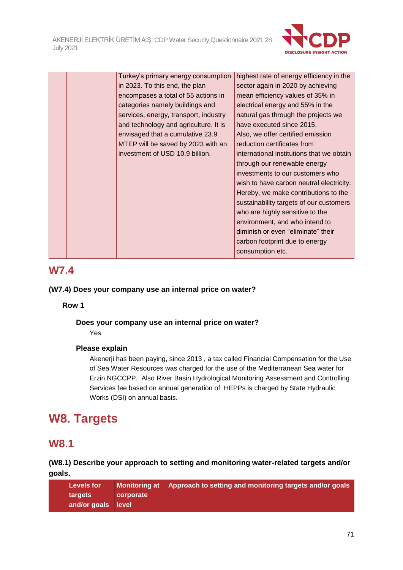

|  | Turkey's primary energy consumption   | highest rate of energy efficiency in the  |
|--|---------------------------------------|-------------------------------------------|
|  | in 2023. To this end, the plan        | sector again in 2020 by achieving         |
|  | encompases a total of 55 actions in   | mean efficiency values of 35% in          |
|  | categories namely buildings and       | electrical energy and 55% in the          |
|  | services, energy, transport, industry | natural gas through the projects we       |
|  | and technology and agriculture. It is | have executed since 2015.                 |
|  | envisaged that a cumulative 23.9      | Also, we offer certified emission         |
|  | MTEP will be saved by 2023 with an    | reduction certificates from               |
|  | investment of USD 10.9 billion.       | international institutions that we obtain |
|  |                                       | through our renewable energy              |
|  |                                       | investments to our customers who          |
|  |                                       | wish to have carbon neutral electricity.  |
|  |                                       | Hereby, we make contributions to the      |
|  |                                       | sustainability targets of our customers   |
|  |                                       | who are highly sensitive to the           |
|  |                                       | environment, and who intend to            |
|  |                                       | diminish or even "eliminate" their        |
|  |                                       | carbon footprint due to energy            |
|  |                                       | consumption etc.                          |
|  |                                       |                                           |

# **W7.4**

## **(W7.4) Does your company use an internal price on water?**

**Row 1**

## **Does your company use an internal price on water?**

Yes

## **Please explain**

Akenerji has been paying, since 2013 , a tax called Financial Compensation for the Use of Sea Water Resources was charged for the use of the Mediterranean Sea water for Erzin NGCCPP. Also River Basin Hydrological Monitoring Assessment and Controlling Services fee based on annual generation of HEPPs is charged by State Hydraulic Works (DSI) on annual basis.

# **W8. Targets**

# **W8.1**

## **(W8.1) Describe your approach to setting and monitoring water-related targets and/or goals.**

| <b>Levels for</b>  |           | Monitoring at Approach to setting and monitoring targets and/or goals |
|--------------------|-----------|-----------------------------------------------------------------------|
| targets            | corporate |                                                                       |
| and/or goals level |           |                                                                       |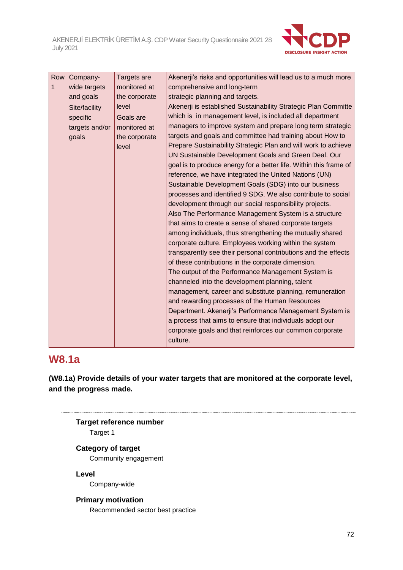

| Row | Company-       | Targets are   | Akenerji's risks and opportunities will lead us to a much more    |
|-----|----------------|---------------|-------------------------------------------------------------------|
| 1   | wide targets   | monitored at  | comprehensive and long-term                                       |
|     | and goals      | the corporate | strategic planning and targets.                                   |
|     | Site/facility  | level         | Akenerji is established Sustainability Strategic Plan Committe    |
|     | specific       | Goals are     | which is in management level, is included all department          |
|     | targets and/or | monitored at  | managers to improve system and prepare long term strategic        |
|     | goals          | the corporate | targets and goals and committee had training about How to         |
|     |                | level         | Prepare Sustainability Strategic Plan and will work to achieve    |
|     |                |               | UN Sustainable Development Goals and Green Deal. Our              |
|     |                |               | goal is to produce energy for a better life. Within this frame of |
|     |                |               | reference, we have integrated the United Nations (UN)             |
|     |                |               | Sustainable Development Goals (SDG) into our business             |
|     |                |               | processes and identified 9 SDG. We also contribute to social      |
|     |                |               | development through our social responsibility projects.           |
|     |                |               | Also The Performance Management System is a structure             |
|     |                |               | that aims to create a sense of shared corporate targets           |
|     |                |               | among individuals, thus strengthening the mutually shared         |
|     |                |               | corporate culture. Employees working within the system            |
|     |                |               | transparently see their personal contributions and the effects    |
|     |                |               | of these contributions in the corporate dimension.                |
|     |                |               | The output of the Performance Management System is                |
|     |                |               | channeled into the development planning, talent                   |
|     |                |               | management, career and substitute planning, remuneration          |
|     |                |               | and rewarding processes of the Human Resources                    |
|     |                |               | Department. Akenerji's Performance Management System is           |
|     |                |               | a process that aims to ensure that individuals adopt our          |
|     |                |               | corporate goals and that reinforces our common corporate          |
|     |                |               | culture.                                                          |

# **W8.1a**

**(W8.1a) Provide details of your water targets that are monitored at the corporate level, and the progress made.**

# **Target reference number** Target 1

**Category of target** Community engagement

**Level**

Company-wide

### **Primary motivation**

Recommended sector best practice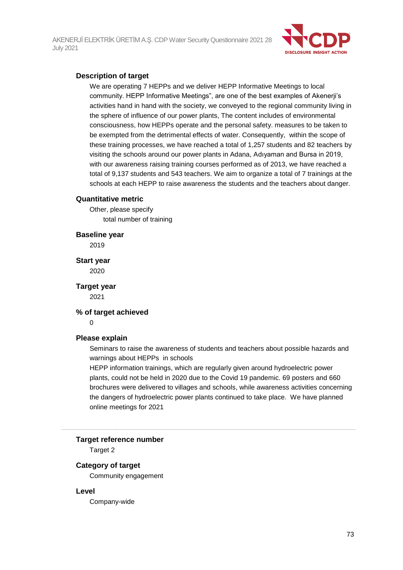

## **Description of target**

We are operating 7 HEPPs and we deliver HEPP Informative Meetings to local community. HEPP Informative Meetings", are one of the best examples of Akenerji's activities hand in hand with the society, we conveyed to the regional community living in the sphere of influence of our power plants, The content includes of environmental consciousness, how HEPPs operate and the personal safety. measures to be taken to be exempted from the detrimental effects of water. Consequently, within the scope of these training processes, we have reached a total of 1,257 students and 82 teachers by visiting the schools around our power plants in Adana, Adıyaman and Bursa in 2019, with our awareness raising training courses performed as of 2013, we have reached a total of 9,137 students and 543 teachers. We aim to organize a total of 7 trainings at the schools at each HEPP to raise awareness the students and the teachers about danger.

#### **Quantitative metric**

Other, please specify total number of training

**Baseline year**

2019

**Start year** 2020

**Target year** 2021

#### **% of target achieved**

 $\Omega$ 

## **Please explain**

Seminars to raise the awareness of students and teachers about possible hazards and warnings about HEPPs in schools

HEPP information trainings, which are regularly given around hydroelectric power plants, could not be held in 2020 due to the Covid 19 pandemic. 69 posters and 660 brochures were delivered to villages and schools, while awareness activities concerning the dangers of hydroelectric power plants continued to take place. We have planned online meetings for 2021

#### **Target reference number**

Target 2

## **Category of target**

Community engagement

#### **Level**

Company-wide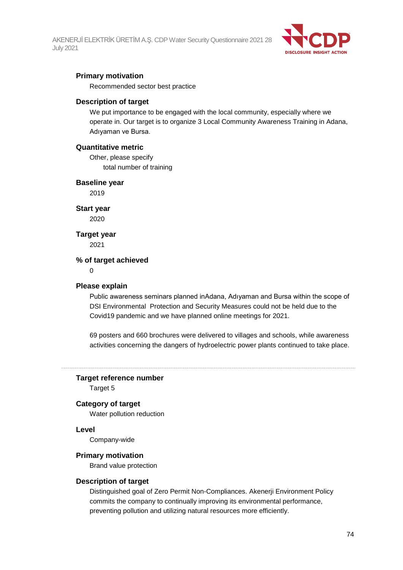

## **Primary motivation**

Recommended sector best practice

## **Description of target**

We put importance to be engaged with the local community, especially where we operate in. Our target is to organize 3 Local Community Awareness Training in Adana, Adıyaman ve Bursa.

## **Quantitative metric**

Other, please specify total number of training

## **Baseline year**

2019

**Start year**

2020

## **Target year**

2021

## **% of target achieved**

 $\Omega$ 

## **Please explain**

Public awareness seminars planned inAdana, Adıyaman and Bursa within the scope of DSI Environmental Protection and Security Measures could not be held due to the Covid19 pandemic and we have planned online meetings for 2021.

69 posters and 660 brochures were delivered to villages and schools, while awareness activities concerning the dangers of hydroelectric power plants continued to take place.

## **Target reference number**

Target 5

## **Category of target**

Water pollution reduction

## **Level**

Company-wide

## **Primary motivation**

Brand value protection

## **Description of target**

Distinguished goal of Zero Permit Non-Compliances. Akenerji Environment Policy commits the company to continually improving its environmental performance, preventing pollution and utilizing natural resources more efficiently.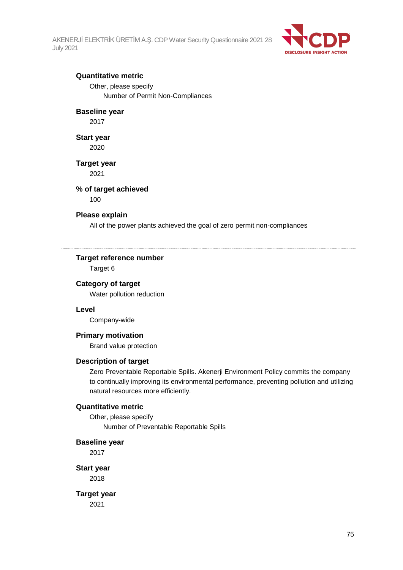

## **Quantitative metric**

Other, please specify Number of Permit Non-Compliances

## **Baseline year**

2017

## **Start year**

2020

## **Target year**

2021

## **% of target achieved**

100

#### **Please explain**

All of the power plants achieved the goal of zero permit non-compliances

## **Target reference number**

Target 6

## **Category of target**

Water pollution reduction

## **Level**

Company-wide

## **Primary motivation**

Brand value protection

## **Description of target**

Zero Preventable Reportable Spills. Akenerji Environment Policy commits the company to continually improving its environmental performance, preventing pollution and utilizing natural resources more efficiently.

## **Quantitative metric**

Other, please specify Number of Preventable Reportable Spills

#### **Baseline year**

2017

**Start year** 2018

**Target year** 2021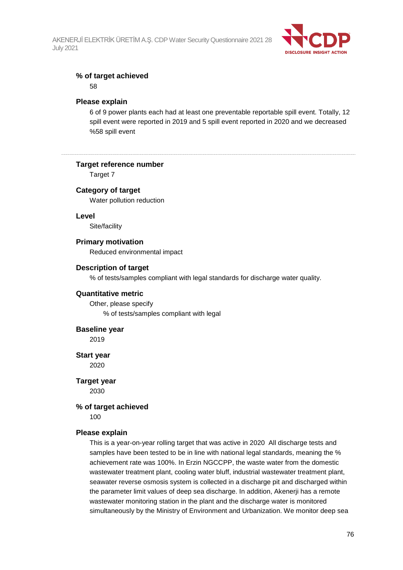

## **% of target achieved**

58

## **Please explain**

6 of 9 power plants each had at least one preventable reportable spill event. Totally, 12 spill event were reported in 2019 and 5 spill event reported in 2020 and we decreased %58 spill event

## **Target reference number**

Target 7

## **Category of target**

Water pollution reduction

## **Level**

Site/facility

## **Primary motivation**

Reduced environmental impact

## **Description of target**

% of tests/samples compliant with legal standards for discharge water quality.

## **Quantitative metric**

Other, please specify % of tests/samples compliant with legal

## **Baseline year**

2019

**Start year**

2020

**Target year** 2030

## **% of target achieved**

100

## **Please explain**

This is a year-on-year rolling target that was active in 2020 All discharge tests and samples have been tested to be in line with national legal standards, meaning the % achievement rate was 100%. In Erzin NGCCPP, the waste water from the domestic wastewater treatment plant, cooling water bluff, industrial wastewater treatment plant, seawater reverse osmosis system is collected in a discharge pit and discharged within the parameter limit values of deep sea discharge. In addition, Akenerji has a remote wastewater monitoring station in the plant and the discharge water is monitored simultaneously by the Ministry of Environment and Urbanization. We monitor deep sea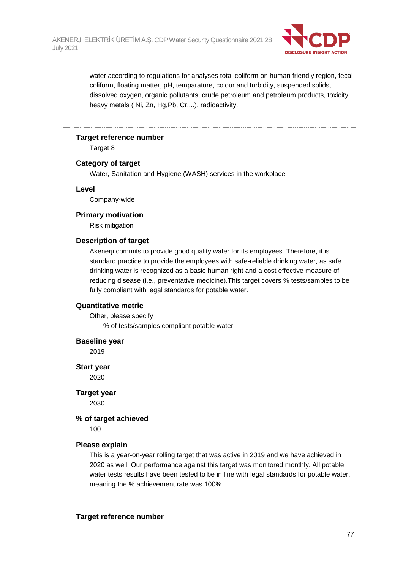

water according to regulations for analyses total coliform on human friendly region, fecal coliform, floating matter, pH, temparature, colour and turbidity, suspended solids, dissolved oxygen, organic pollutants, crude petroleum and petroleum products, toxicity , heavy metals ( Ni, Zn, Hg,Pb, Cr,...), radioactivity.

## **Target reference number**

Target 8

## **Category of target**

Water, Sanitation and Hygiene (WASH) services in the workplace

## **Level**

Company-wide

## **Primary motivation**

Risk mitigation

## **Description of target**

Akenerji commits to provide good quality water for its employees. Therefore, it is standard practice to provide the employees with safe-reliable drinking water, as safe drinking water is recognized as a basic human right and a cost effective measure of reducing disease (i.e., preventative medicine).This target covers % tests/samples to be fully compliant with legal standards for potable water.

## **Quantitative metric**

Other, please specify % of tests/samples compliant potable water

## **Baseline year**

2019

**Start year** 2020

**Target year**

2030

## **% of target achieved**

100

## **Please explain**

This is a year-on-year rolling target that was active in 2019 and we have achieved in 2020 as well. Our performance against this target was monitored monthly. All potable water tests results have been tested to be in line with legal standards for potable water, meaning the % achievement rate was 100%.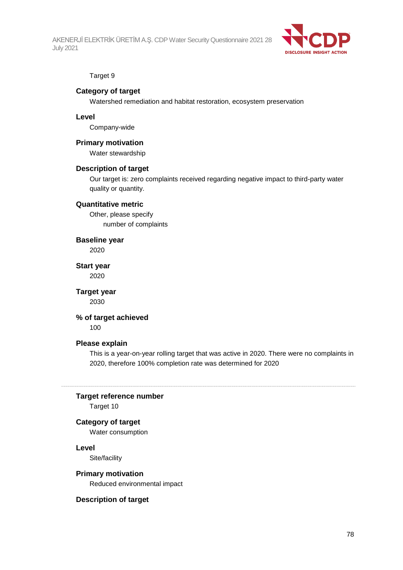

## Target 9

## **Category of target**

Watershed remediation and habitat restoration, ecosystem preservation

## **Level**

Company-wide

## **Primary motivation**

Water stewardship

## **Description of target**

Our target is: zero complaints received regarding negative impact to third-party water quality or quantity.

## **Quantitative metric**

Other, please specify number of complaints

**Baseline year** 2020

**Start year** 2020

**Target year** 2030

## **% of target achieved**

100

## **Please explain**

This is a year-on-year rolling target that was active in 2020. There were no complaints in 2020, therefore 100% completion rate was determined for 2020

## **Target reference number**

Target 10

## **Category of target**

Water consumption

## **Level**

Site/facility

## **Primary motivation**

Reduced environmental impact

## **Description of target**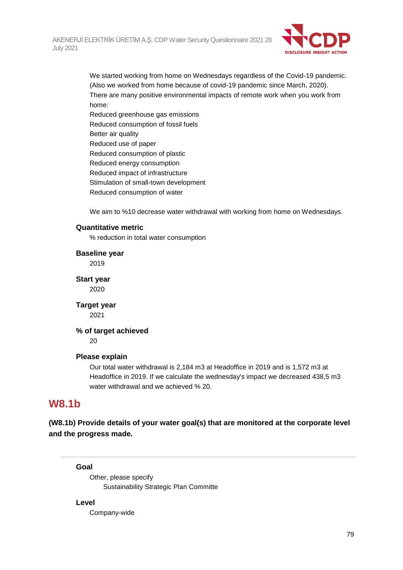

We started working from home on Wednesdays regardless of the Covid-19 pandemic. (Also we worked from home because of covid-19 pandemic since March, 2020). There are many positive environmental impacts of remote work when you work from home: Reduced greenhouse gas emissions Reduced consumption of fossil fuels Better air quality Reduced use of paper Reduced consumption of plastic Reduced energy consumption Reduced impact of infrastructure Stimulation of small-town development

Reduced consumption of water

We aim to %10 decrease water withdrawal with working from home on Wednesdays.

## **Quantitative metric**

% reduction in total water consumption

## **Baseline year**

2019

**Start year** 2020

**Target year** 2021

**% of target achieved**

20

## **Please explain**

Our total water withdrawal is 2,184 m3 at Headoffice in 2019 and is 1,572 m3 at Headoffice in 2019. If we calculate the wednesday's impact we decreased 438,5 m3 water withdrawal and we achieved % 20.

## **W8.1b**

**(W8.1b) Provide details of your water goal(s) that are monitored at the corporate level and the progress made.**

#### **Goal**

Other, please specify Sustainability Strategic Plan Committe

## **Level**

Company-wide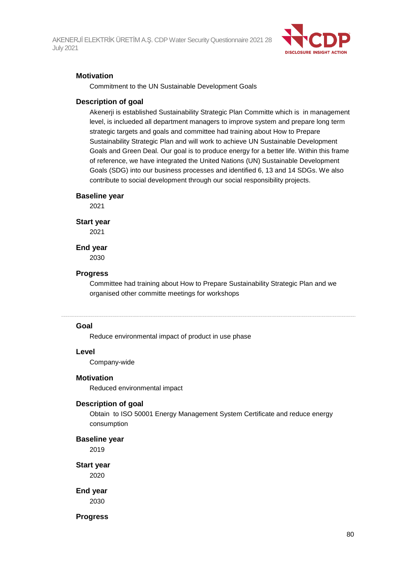

## **Motivation**

Commitment to the UN Sustainable Development Goals

## **Description of goal**

Akenerji is established Sustainability Strategic Plan Committe which is in management level, is inclueded all department managers to improve system and prepare long term strategic targets and goals and committee had training about How to Prepare Sustainability Strategic Plan and will work to achieve UN Sustainable Development Goals and Green Deal. Our goal is to produce energy for a better life. Within this frame of reference, we have integrated the United Nations (UN) Sustainable Development Goals (SDG) into our business processes and identified 6, 13 and 14 SDGs. We also contribute to social development through our social responsibility projects.

#### **Baseline year**

2021

#### **Start year**

2021

## **End year**

2030

## **Progress**

Committee had training about How to Prepare Sustainability Strategic Plan and we organised other committe meetings for workshops

#### **Goal**

Reduce environmental impact of product in use phase

## **Level**

Company-wide

## **Motivation**

Reduced environmental impact

## **Description of goal**

Obtain to ISO 50001 Energy Management System Certificate and reduce energy consumption

**Baseline year**

2019

**Start year** 2020

**End year**

2030

**Progress**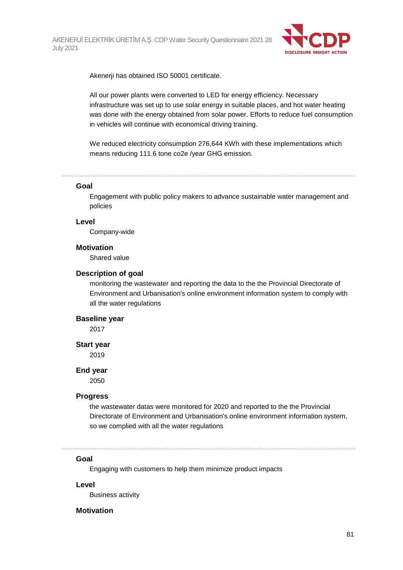

Akenerji has obtained ISO 50001 certificate.

All our power plants were converted to LED for energy efficiency. Necessary infrastructure was set up to use solar energy in suitable places, and hot water heating was done with the energy obtained from solar power. Efforts to reduce fuel consumption in vehicles will continue with economical driving training.

We reduced electricity consumption 276,644 KWh with these implementations which means reducing 111.6 tone co2e /year GHG emission.

#### **Goal**

Engagement with public policy makers to advance sustainable water management and policies

## **Level**

Company-wide

#### **Motivation**

Shared value

#### **Description of goal**

monitoring the wastewater and reporting the data to the the Provincial Directorate of Environment and Urbanisation's online environment information system to comply with all the water regulations

## **Baseline year**

2017

#### **Start year**

2019

#### **End year**

2050

## **Progress**

the wastewater datas were monitored for 2020 and reported to the the Provincial Directorate of Environment and Urbanisation's online environment information system, so we complied with all the water regulations

#### **Goal**

Engaging with customers to help them minimize product impacts

#### **Level**

Business activity

## **Motivation**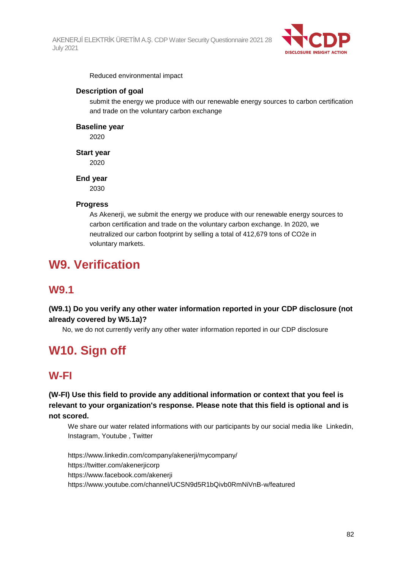

Reduced environmental impact

## **Description of goal**

submit the energy we produce with our renewable energy sources to carbon certification and trade on the voluntary carbon exchange

## **Baseline year**

2020

## **Start year**

2020

## **End year**

2030

## **Progress**

As Akenerji, we submit the energy we produce with our renewable energy sources to carbon certification and trade on the voluntary carbon exchange. In 2020, we neutralized our carbon footprint by selling a total of 412,679 tons of CO2e in voluntary markets.

# **W9. Verification**

## **W9.1**

**(W9.1) Do you verify any other water information reported in your CDP disclosure (not already covered by W5.1a)?**

No, we do not currently verify any other water information reported in our CDP disclosure

# **W10. Sign off**

## **W-FI**

**(W-FI) Use this field to provide any additional information or context that you feel is relevant to your organization's response. Please note that this field is optional and is not scored.**

We share our water related informations with our participants by our social media like Linkedin, Instagram, Youtube , Twitter

https://www.linkedin.com/company/akenerji/mycompany/ https://twitter.com/akenerjicorp https://www.facebook.com/akenerji https://www.youtube.com/channel/UCSN9d5R1bQivb0RmNiVnB-w/featured